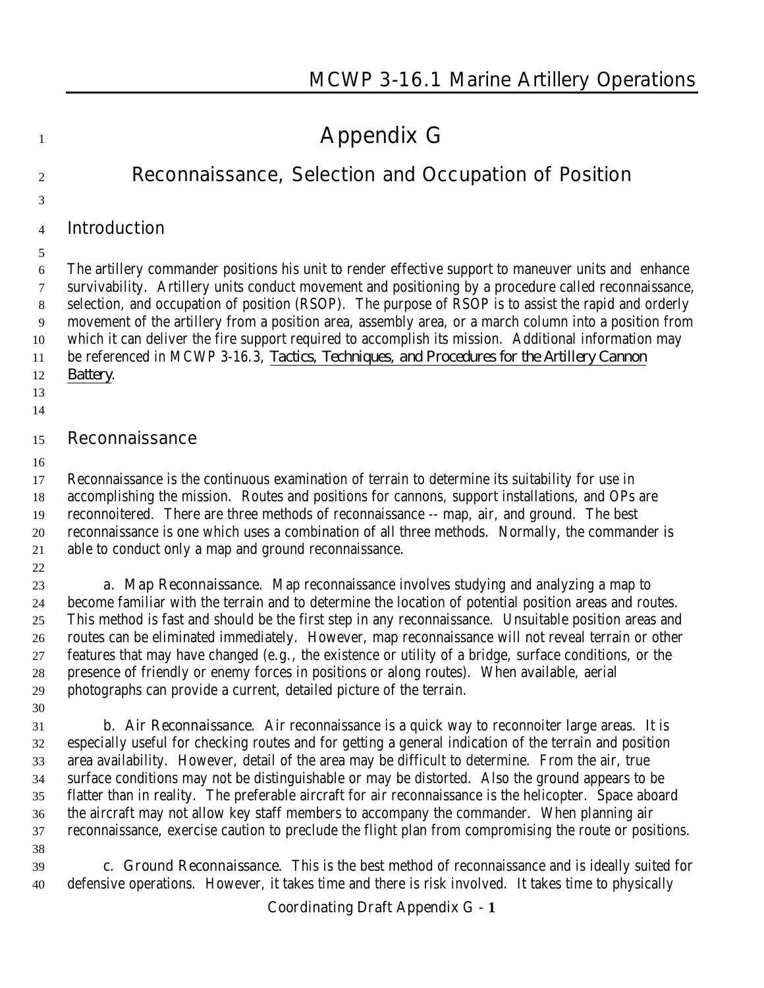# **Appendix G**

# **Reconnaissance, Selection and Occupation of Position**

# **Introduction**

 The artillery commander positions his unit to render effective support to maneuver units and enhance survivability. Artillery units conduct movement and positioning by a procedure called reconnaissance, selection, and occupation of position (RSOP). The purpose of RSOP is to assist the rapid and orderly movement of the artillery from a position area, assembly area, or a march column into a position from which it can deliver the fire support required to accomplish its mission. Additional information may be referenced in MCWP 3-16.3, *Tactics, Techniques, and Procedures for the Artillery Cannon Battery*.

- 
- 

# **Reconnaissance**

 Reconnaissance is the continuous examination of terrain to determine its suitability for use in accomplishing the mission. Routes and positions for cannons, support installations, and OPs are reconnoitered. There are three methods of reconnaissance -- map, air, and ground. The best reconnaissance is one which uses a combination of all three methods. Normally, the commander is able to conduct only a map and ground reconnaissance.

 **a. Map Reconnaissance**. Map reconnaissance involves studying and analyzing a map to become familiar with the terrain and to determine the location of potential position areas and routes. This method is fast and should be the first step in any reconnaissance. Unsuitable position areas and routes can be eliminated immediately. However, map reconnaissance will not reveal terrain or other features that may have changed (e.g., the existence or utility of a bridge, surface conditions, or the presence of friendly or enemy forces in positions or along routes). When available, aerial photographs can provide a current, detailed picture of the terrain.

 **b. Air Reconnaissance**. Air reconnaissance is a quick way to reconnoiter large areas. It is especially useful for checking routes and for getting a general indication of the terrain and position area availability. However, detail of the area may be difficult to determine. From the air, true surface conditions may not be distinguishable or may be distorted. Also the ground appears to be flatter than in reality. The preferable aircraft for air reconnaissance is the helicopter. Space aboard the aircraft may not allow key staff members to accompany the commander. When planning air reconnaissance, exercise caution to preclude the flight plan from compromising the route or positions.

 **c. Ground Reconnaissance**. This is the best method of reconnaissance and is ideally suited for defensive operations. However, it takes time and there is risk involved. It takes time to physically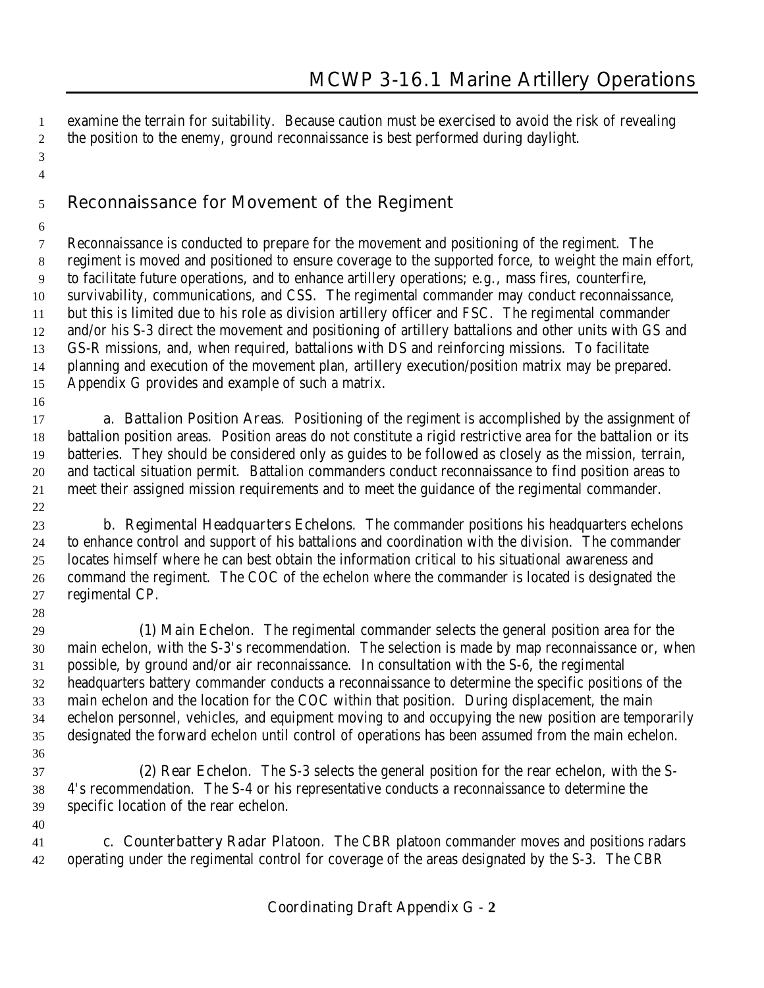examine the terrain for suitability. Because caution must be exercised to avoid the risk of revealing the position to the enemy, ground reconnaissance is best performed during daylight.

 

# **Reconnaissance for Movement of the Regiment**

- Reconnaissance is conducted to prepare for the movement and positioning of the regiment. The regiment is moved and positioned to ensure coverage to the supported force, to weight the main effort, to facilitate future operations, and to enhance artillery operations; e.g., mass fires, counterfire, survivability, communications, and CSS. The regimental commander may conduct reconnaissance, but this is limited due to his role as division artillery officer and FSC. The regimental commander and/or his S-3 direct the movement and positioning of artillery battalions and other units with GS and GS-R missions, and, when required, battalions with DS and reinforcing missions. To facilitate planning and execution of the movement plan, artillery execution/position matrix may be prepared. Appendix G provides and example of such a matrix.
- 

 **a. Battalion Position Areas**. Positioning of the regiment is accomplished by the assignment of battalion position areas. Position areas do not constitute a rigid restrictive area for the battalion or its batteries. They should be considered only as guides to be followed as closely as the mission, terrain, and tactical situation permit. Battalion commanders conduct reconnaissance to find position areas to meet their assigned mission requirements and to meet the guidance of the regimental commander. 

 **b. Regimental Headquarters Echelons**. The commander positions his headquarters echelons to enhance control and support of his battalions and coordination with the division. The commander locates himself where he can best obtain the information critical to his situational awareness and command the regiment. The COC of the echelon where the commander is located is designated the regimental CP.

 **(1) Main Echelon**. The regimental commander selects the general position area for the main echelon, with the S-3's recommendation. The selection is made by map reconnaissance or, when possible, by ground and/or air reconnaissance. In consultation with the S-6, the regimental headquarters battery commander conducts a reconnaissance to determine the specific positions of the main echelon and the location for the COC within that position. During displacement, the main echelon personnel, vehicles, and equipment moving to and occupying the new position are temporarily designated the forward echelon until control of operations has been assumed from the main echelon. 

 **(2) Rear Echelon**. The S-3 selects the general position for the rear echelon, with the S- 4's recommendation. The S-4 or his representative conducts a reconnaissance to determine the specific location of the rear echelon.

 **c. Counterbattery Radar Platoon**. The CBR platoon commander moves and positions radars operating under the regimental control for coverage of the areas designated by the S-3. The CBR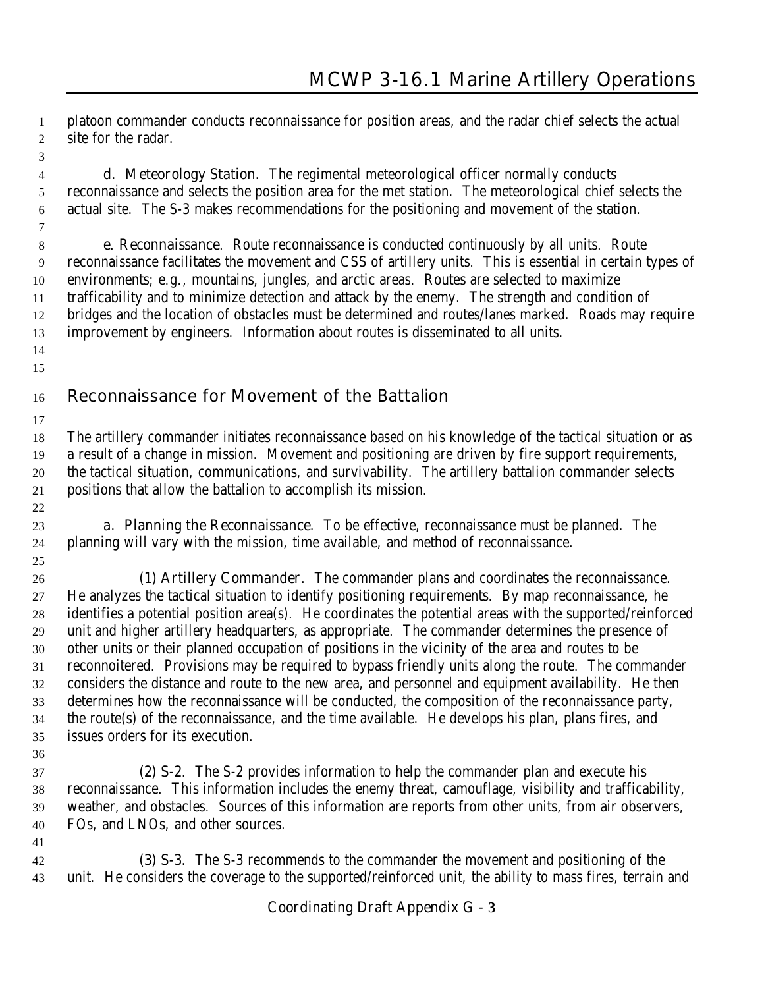platoon commander conducts reconnaissance for position areas, and the radar chief selects the actual site for the radar.

 **d. Meteorology Station**. The regimental meteorological officer normally conducts reconnaissance and selects the position area for the met station. The meteorological chief selects the actual site. The S-3 makes recommendations for the positioning and movement of the station.

 **e. Reconnaissance**. Route reconnaissance is conducted continuously by all units. Route reconnaissance facilitates the movement and CSS of artillery units. This is essential in certain types of environments; e.g., mountains, jungles, and arctic areas. Routes are selected to maximize trafficability and to minimize detection and attack by the enemy. The strength and condition of bridges and the location of obstacles must be determined and routes/lanes marked. Roads may require improvement by engineers. Information about routes is disseminated to all units. 

# **Reconnaissance for Movement of the Battalion**

 The artillery commander initiates reconnaissance based on his knowledge of the tactical situation or as a result of a change in mission. Movement and positioning are driven by fire support requirements, the tactical situation, communications, and survivability. The artillery battalion commander selects positions that allow the battalion to accomplish its mission.

 **a. Planning the Reconnaissance**. To be effective, reconnaissance must be planned. The planning will vary with the mission, time available, and method of reconnaissance.

 **(1) Artillery Commander**. The commander plans and coordinates the reconnaissance. He analyzes the tactical situation to identify positioning requirements. By map reconnaissance, he identifies a potential position area(s). He coordinates the potential areas with the supported/reinforced unit and higher artillery headquarters, as appropriate. The commander determines the presence of other units or their planned occupation of positions in the vicinity of the area and routes to be reconnoitered. Provisions may be required to bypass friendly units along the route. The commander considers the distance and route to the new area, and personnel and equipment availability. He then determines how the reconnaissance will be conducted, the composition of the reconnaissance party, the route(s) of the reconnaissance, and the time available. He develops his plan, plans fires, and issues orders for its execution.

 **(2) S-2**. The S-2 provides information to help the commander plan and execute his reconnaissance. This information includes the enemy threat, camouflage, visibility and trafficability, weather, and obstacles. Sources of this information are reports from other units, from air observers, FOs, and LNOs, and other sources.

 **(3) S-3**. The S-3 recommends to the commander the movement and positioning of the unit. He considers the coverage to the supported/reinforced unit, the ability to mass fires, terrain and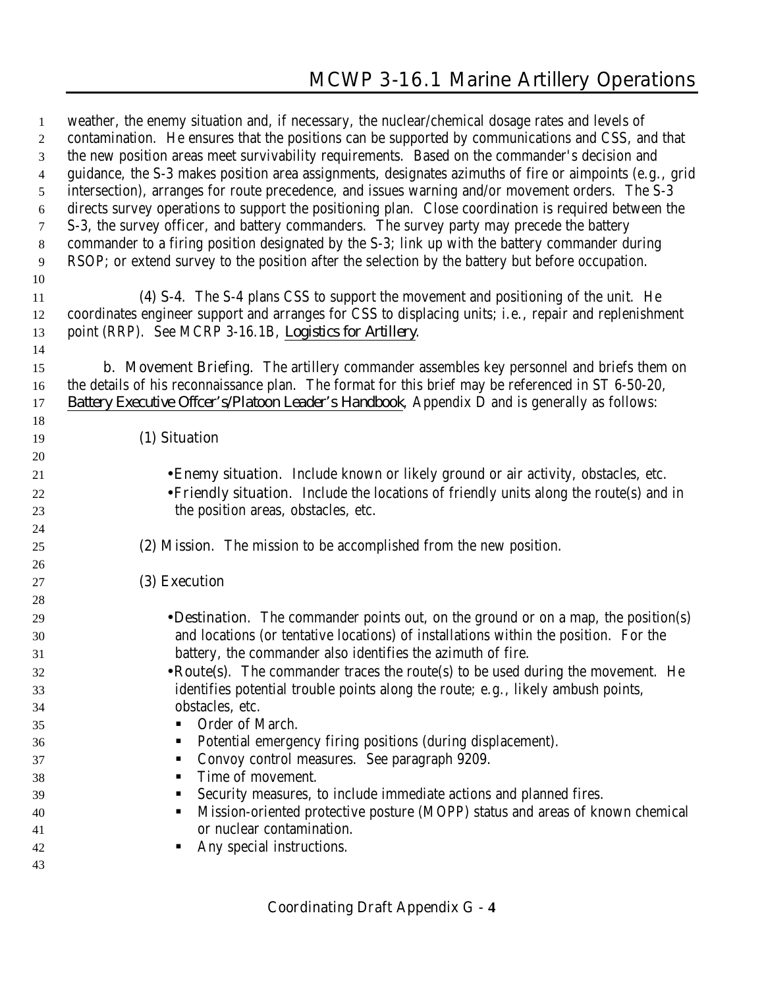weather, the enemy situation and, if necessary, the nuclear/chemical dosage rates and levels of contamination. He ensures that the positions can be supported by communications and CSS, and that the new position areas meet survivability requirements. Based on the commander's decision and guidance, the S-3 makes position area assignments, designates azimuths of fire or aimpoints (e.g., grid intersection), arranges for route precedence, and issues warning and/or movement orders. The S-3 directs survey operations to support the positioning plan. Close coordination is required between the S-3, the survey officer, and battery commanders. The survey party may precede the battery commander to a firing position designated by the S-3; link up with the battery commander during RSOP; or extend survey to the position after the selection by the battery but before occupation. **(4) S-4**. The S-4 plans CSS to support the movement and positioning of the unit. He coordinates engineer support and arranges for CSS to displacing units; i.e., repair and replenishment point (RRP). See MCRP 3-16.1B, *Logistics for Artillery*. **b. Movement Briefing**. The artillery commander assembles key personnel and briefs them on the details of his reconnaissance plan. The format for this brief may be referenced in ST 6-50-20, *Battery Executive Offcer's/Platoon Leader's Handbook*, Appendix D and is generally as follows: **(1) Situation** •**Enemy situation**. Include known or likely ground or air activity, obstacles, etc. •**Friendly situation**. Include the locations of friendly units along the route(s) and in the position areas, obstacles, etc. **(2) Mission**. The mission to be accomplished from the new position. **(3) Execution** •**Destination**. The commander points out, on the ground or on a map, the position(s) and locations (or tentative locations) of installations within the position. For the battery, the commander also identifies the azimuth of fire. •**Route(s)**. The commander traces the route(s) to be used during the movement. He identifies potential trouble points along the route; e.g., likely ambush points, obstacles, etc. 35 Order of March. ! Potential emergency firing positions (during displacement). **Convoy control measures. See paragraph 9209. I** Time of movement. ! Security measures, to include immediate actions and planned fires. ! Mission-oriented protective posture (MOPP) status and areas of known chemical or nuclear contamination. ! Any special instructions.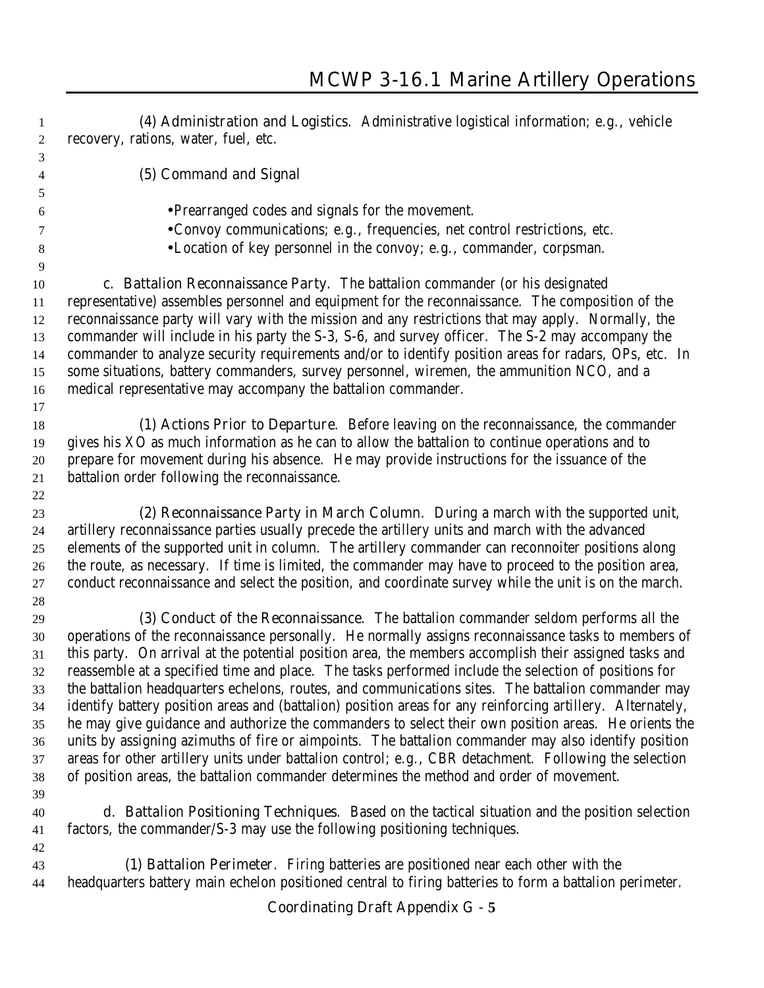**(4) Administration and Logistics**. Administrative logistical information; e.g., vehicle recovery, rations, water, fuel, etc. **(5) Command and Signal** •Prearranged codes and signals for the movement. •Convoy communications; e.g., frequencies, net control restrictions, etc. •Location of key personnel in the convoy; e.g., commander, corpsman. **c. Battalion Reconnaissance Party**. The battalion commander (or his designated representative) assembles personnel and equipment for the reconnaissance. The composition of the reconnaissance party will vary with the mission and any restrictions that may apply. Normally, the commander will include in his party the S-3, S-6, and survey officer. The S-2 may accompany the commander to analyze security requirements and/or to identify position areas for radars, OPs, etc. In some situations, battery commanders, survey personnel, wiremen, the ammunition NCO, and a medical representative may accompany the battalion commander. **(1) Actions Prior to Departure**. Before leaving on the reconnaissance, the commander gives his XO as much information as he can to allow the battalion to continue operations and to prepare for movement during his absence. He may provide instructions for the issuance of the battalion order following the reconnaissance. **(2) Reconnaissance Party in March Column**. During a march with the supported unit, artillery reconnaissance parties usually precede the artillery units and march with the advanced elements of the supported unit in column. The artillery commander can reconnoiter positions along the route, as necessary. If time is limited, the commander may have to proceed to the position area, conduct reconnaissance and select the position, and coordinate survey while the unit is on the march. **(3) Conduct of the Reconnaissance**. The battalion commander seldom performs all the operations of the reconnaissance personally. He normally assigns reconnaissance tasks to members of this party. On arrival at the potential position area, the members accomplish their assigned tasks and reassemble at a specified time and place. The tasks performed include the selection of positions for the battalion headquarters echelons, routes, and communications sites. The battalion commander may identify battery position areas and (battalion) position areas for any reinforcing artillery. Alternately, he may give guidance and authorize the commanders to select their own position areas. He orients the units by assigning azimuths of fire or aimpoints. The battalion commander may also identify position areas for other artillery units under battalion control; e.g., CBR detachment. Following the selection of position areas, the battalion commander determines the method and order of movement. **d. Battalion Positioning Techniques**. Based on the tactical situation and the position selection factors, the commander/S-3 may use the following positioning techniques. **(1) Battalion Perimeter**. Firing batteries are positioned near each other with the

headquarters battery main echelon positioned central to firing batteries to form a battalion perimeter.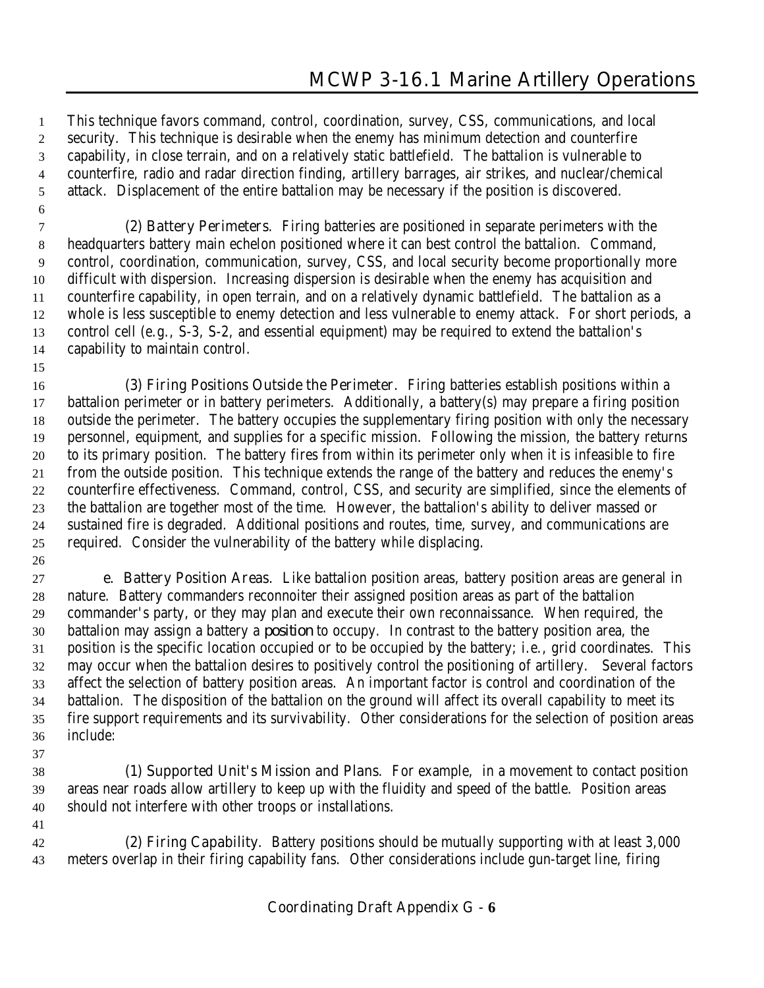This technique favors command, control, coordination, survey, CSS, communications, and local security. This technique is desirable when the enemy has minimum detection and counterfire capability, in close terrain, and on a relatively static battlefield. The battalion is vulnerable to counterfire, radio and radar direction finding, artillery barrages, air strikes, and nuclear/chemical attack. Displacement of the entire battalion may be necessary if the position is discovered.

 **(2) Battery Perimeters**. Firing batteries are positioned in separate perimeters with the headquarters battery main echelon positioned where it can best control the battalion. Command, control, coordination, communication, survey, CSS, and local security become proportionally more difficult with dispersion. Increasing dispersion is desirable when the enemy has acquisition and counterfire capability, in open terrain, and on a relatively dynamic battlefield. The battalion as a whole is less susceptible to enemy detection and less vulnerable to enemy attack. For short periods, a control cell (e.g., S-3, S-2, and essential equipment) may be required to extend the battalion's capability to maintain control.

 **(3) Firing Positions Outside the Perimeter**. Firing batteries establish positions within a battalion perimeter or in battery perimeters. Additionally, a battery(s) may prepare a firing position outside the perimeter. The battery occupies the supplementary firing position with only the necessary personnel, equipment, and supplies for a specific mission. Following the mission, the battery returns to its primary position. The battery fires from within its perimeter only when it is infeasible to fire from the outside position. This technique extends the range of the battery and reduces the enemy's counterfire effectiveness. Command, control, CSS, and security are simplified, since the elements of the battalion are together most of the time. However, the battalion's ability to deliver massed or sustained fire is degraded. Additional positions and routes, time, survey, and communications are required. Consider the vulnerability of the battery while displacing.

 **e. Battery Position Areas**. Like battalion position areas, battery position areas are general in nature. Battery commanders reconnoiter their assigned position areas as part of the battalion commander's party, or they may plan and execute their own reconnaissance. When required, the battalion may assign a battery a *position* to occupy. In contrast to the battery position area, the position is the specific location occupied or to be occupied by the battery; i.e., grid coordinates. This may occur when the battalion desires to positively control the positioning of artillery. Several factors affect the selection of battery position areas. An important factor is control and coordination of the battalion. The disposition of the battalion on the ground will affect its overall capability to meet its fire support requirements and its survivability. Other considerations for the selection of position areas include:

- **(1) Supported Unit's Mission and Plans**. For example, in a movement to contact position areas near roads allow artillery to keep up with the fluidity and speed of the battle. Position areas should not interfere with other troops or installations.
- **(2) Firing Capability**. Battery positions should be mutually supporting with at least 3,000 meters overlap in their firing capability fans. Other considerations include gun-target line, firing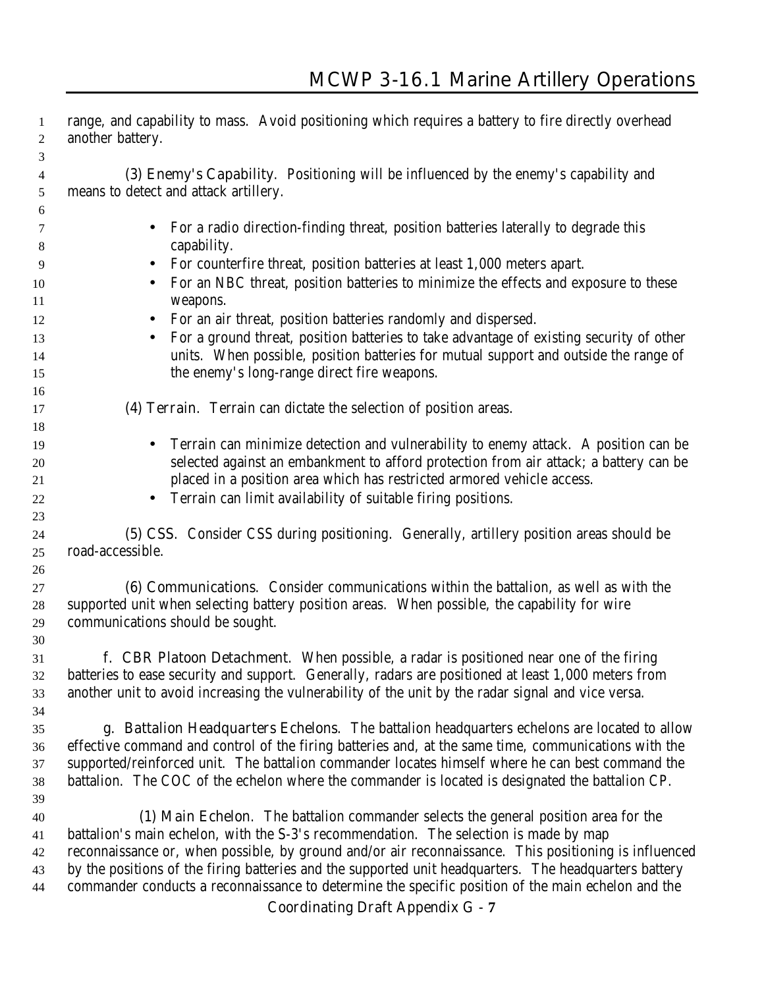| 1        | range, and capability to mass. Avoid positioning which requires a battery to fire directly overhead                                                                                                      |
|----------|----------------------------------------------------------------------------------------------------------------------------------------------------------------------------------------------------------|
| 2        | another battery.                                                                                                                                                                                         |
| 3        |                                                                                                                                                                                                          |
| 4        | (3) Enemy's Capability. Positioning will be influenced by the enemy's capability and                                                                                                                     |
| 5        | means to detect and attack artillery.                                                                                                                                                                    |
| 6        |                                                                                                                                                                                                          |
| 7        | For a radio direction-finding threat, position batteries laterally to degrade this                                                                                                                       |
| 8        | capability.                                                                                                                                                                                              |
| 9        | For counterfire threat, position batteries at least 1,000 meters apart.                                                                                                                                  |
| 10       | For an NBC threat, position batteries to minimize the effects and exposure to these                                                                                                                      |
| 11       | weapons.                                                                                                                                                                                                 |
| 12       | For an air threat, position batteries randomly and dispersed.                                                                                                                                            |
| 13       | For a ground threat, position batteries to take advantage of existing security of other                                                                                                                  |
| 14       | units. When possible, position batteries for mutual support and outside the range of<br>the enemy's long-range direct fire weapons.                                                                      |
| 15<br>16 |                                                                                                                                                                                                          |
| 17       | (4) Terrain. Terrain can dictate the selection of position areas.                                                                                                                                        |
| 18       |                                                                                                                                                                                                          |
| 19       | Terrain can minimize detection and vulnerability to enemy attack. A position can be                                                                                                                      |
| 20       | selected against an embankment to afford protection from air attack; a battery can be                                                                                                                    |
| 21       | placed in a position area which has restricted armored vehicle access.                                                                                                                                   |
| 22       | Terrain can limit availability of suitable firing positions.                                                                                                                                             |
| 23       |                                                                                                                                                                                                          |
| 24       | (5) CSS. Consider CSS during positioning. Generally, artillery position areas should be                                                                                                                  |
| 25       | road-accessible.                                                                                                                                                                                         |
| 26       |                                                                                                                                                                                                          |
| 27       | (6) Communications. Consider communications within the battalion, as well as with the                                                                                                                    |
| 28       | supported unit when selecting battery position areas. When possible, the capability for wire                                                                                                             |
| 29       | communications should be sought.                                                                                                                                                                         |
| 30       |                                                                                                                                                                                                          |
| 31       | <b>f. CBR Platoon Detachment</b> . When possible, a radar is positioned near one of the firing                                                                                                           |
| 32       | batteries to ease security and support. Generally, radars are positioned at least 1,000 meters from                                                                                                      |
| 33       | another unit to avoid increasing the vulnerability of the unit by the radar signal and vice versa.                                                                                                       |
| 34       |                                                                                                                                                                                                          |
| 35       | g. Battalion Headquarters Echelons. The battalion headquarters echelons are located to allow                                                                                                             |
| 36       | effective command and control of the firing batteries and, at the same time, communications with the<br>supported/reinforced unit. The battalion commander locates himself where he can best command the |
| 37<br>38 | battalion. The COC of the echelon where the commander is located is designated the battalion CP.                                                                                                         |
| 39       |                                                                                                                                                                                                          |
| 40       | (1) Main Echelon. The battalion commander selects the general position area for the                                                                                                                      |
| 41       | battalion's main echelon, with the S-3's recommendation. The selection is made by map                                                                                                                    |
| 42       | reconnaissance or, when possible, by ground and/or air reconnaissance. This positioning is influenced                                                                                                    |
| 43       | by the positions of the firing batteries and the supported unit headquarters. The headquarters battery                                                                                                   |
| 44       | commander conducts a reconnaissance to determine the specific position of the main echelon and the                                                                                                       |
|          | <b>Coordinating Draft Appendix G - 7</b>                                                                                                                                                                 |
|          |                                                                                                                                                                                                          |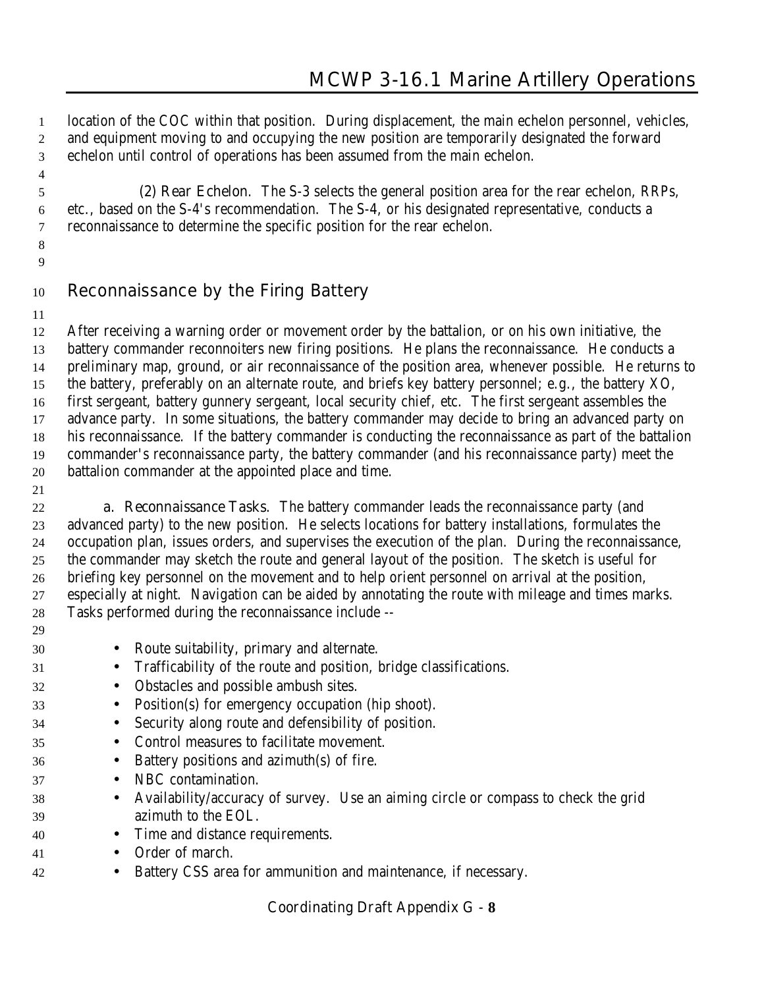location of the COC within that position. During displacement, the main echelon personnel, vehicles, and equipment moving to and occupying the new position are temporarily designated the forward echelon until control of operations has been assumed from the main echelon.

 **(2) Rear Echelon**. The S-3 selects the general position area for the rear echelon, RRPs, etc., based on the S-4's recommendation. The S-4, or his designated representative, conducts a reconnaissance to determine the specific position for the rear echelon.

 

# **Reconnaissance by the Firing Battery**

 After receiving a warning order or movement order by the battalion, or on his own initiative, the battery commander reconnoiters new firing positions. He plans the reconnaissance. He conducts a preliminary map, ground, or air reconnaissance of the position area, whenever possible. He returns to the battery, preferably on an alternate route, and briefs key battery personnel; e.g., the battery XO, first sergeant, battery gunnery sergeant, local security chief, etc. The first sergeant assembles the advance party. In some situations, the battery commander may decide to bring an advanced party on his reconnaissance. If the battery commander is conducting the reconnaissance as part of the battalion commander's reconnaissance party, the battery commander (and his reconnaissance party) meet the battalion commander at the appointed place and time.

 **a. Reconnaissance Tasks**. The battery commander leads the reconnaissance party (and advanced party) to the new position. He selects locations for battery installations, formulates the occupation plan, issues orders, and supervises the execution of the plan. During the reconnaissance, the commander may sketch the route and general layout of the position. The sketch is useful for briefing key personnel on the movement and to help orient personnel on arrival at the position, especially at night. Navigation can be aided by annotating the route with mileage and times marks. Tasks performed during the reconnaissance include --

- 
- Route suitability, primary and alternate.
- Trafficability of the route and position, bridge classifications.
- Obstacles and possible ambush sites.
- Position(s) for emergency occupation (hip shoot).
- Security along route and defensibility of position.
- Control measures to facilitate movement.
- Battery positions and azimuth(s) of fire.
- NBC contamination.
- Availability/accuracy of survey. Use an aiming circle or compass to check the grid azimuth to the EOL.
- Time and distance requirements.
- Order of march.
- Battery CSS area for ammunition and maintenance, if necessary.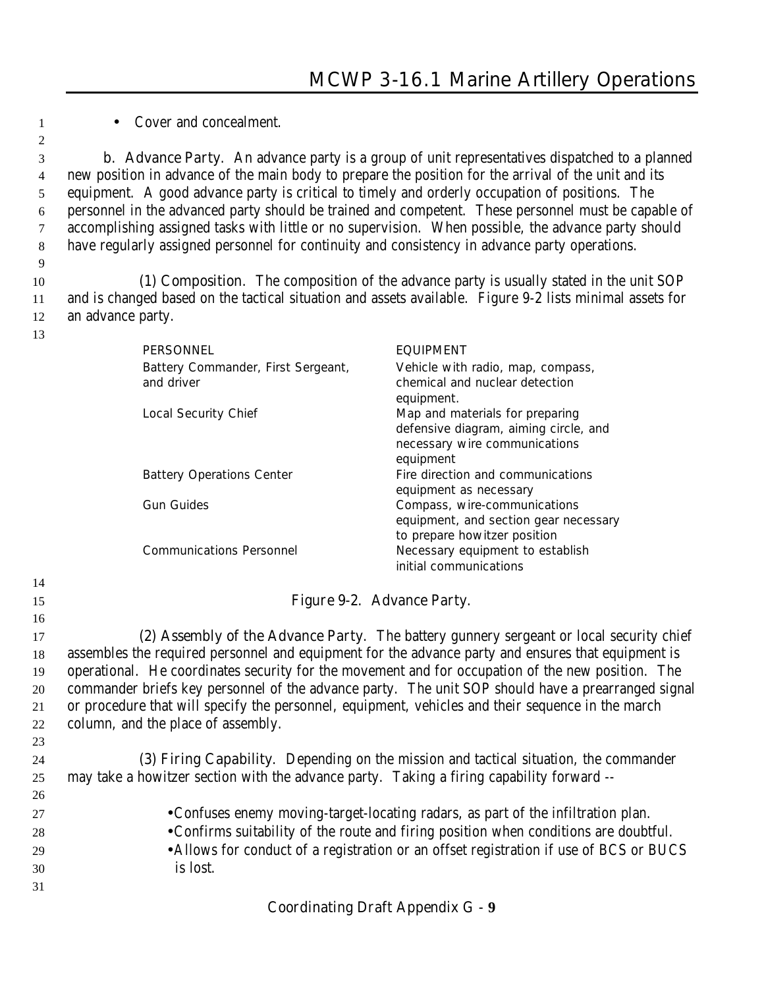• Cover and concealment.

 **b. Advance Party**. An advance party is a group of unit representatives dispatched to a planned new position in advance of the main body to prepare the position for the arrival of the unit and its equipment. A good advance party is critical to timely and orderly occupation of positions. The personnel in the advanced party should be trained and competent. These personnel must be capable of accomplishing assigned tasks with little or no supervision. When possible, the advance party should have regularly assigned personnel for continuity and consistency in advance party operations.

 **(1) Composition**. The composition of the advance party is usually stated in the unit SOP and is changed based on the tactical situation and assets available. Figure 9-2 lists minimal assets for an advance party.

| <b>PERSONNEL</b>                   | <b>EQUIPMENT</b>                      |
|------------------------------------|---------------------------------------|
| Battery Commander, First Sergeant, | Vehicle with radio, map, compass,     |
| and driver                         | chemical and nuclear detection        |
|                                    | equipment.                            |
| Local Security Chief               | Map and materials for preparing       |
|                                    | defensive diagram, aiming circle, and |
|                                    | necessary wire communications         |
|                                    | equipment                             |
| <b>Battery Operations Center</b>   | Fire direction and communications     |
|                                    | equipment as necessary                |
| Gun Guides                         | Compass, wire-communications          |
|                                    | equipment, and section gear necessary |
|                                    | to prepare howitzer position          |
| Communications Personnel           | Necessary equipment to establish      |
|                                    | initial communications                |

# **Figure 9-2. Advance Party.**

 **(2) Assembly of the Advance Party**. The battery gunnery sergeant or local security chief assembles the required personnel and equipment for the advance party and ensures that equipment is operational. He coordinates security for the movement and for occupation of the new position. The commander briefs key personnel of the advance party. The unit SOP should have a prearranged signal or procedure that will specify the personnel, equipment, vehicles and their sequence in the march column, and the place of assembly.

 **(3) Firing Capability**. Depending on the mission and tactical situation, the commander may take a howitzer section with the advance party. Taking a firing capability forward -- •Confuses enemy moving-target-locating radars, as part of the infiltration plan. •Confirms suitability of the route and firing position when conditions are doubtful. •Allows for conduct of a registration or an offset registration if use of BCS or BUCS is lost.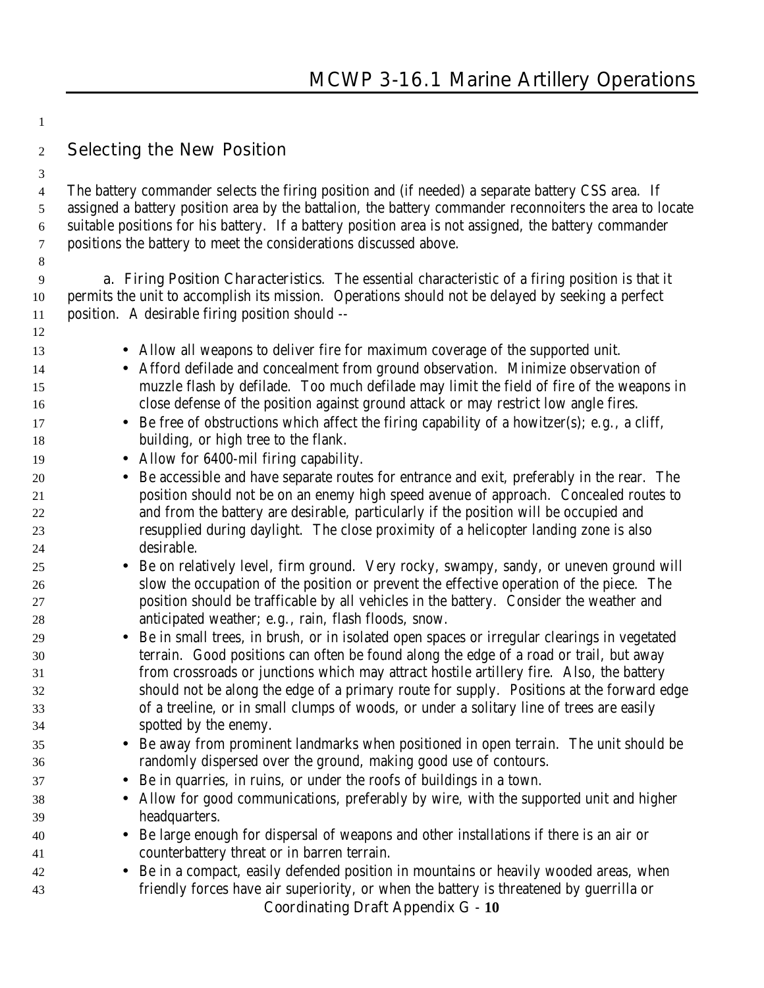**Selecting the New Position**

 The battery commander selects the firing position and (if needed) a separate battery CSS area. If assigned a battery position area by the battalion, the battery commander reconnoiters the area to locate suitable positions for his battery. If a battery position area is not assigned, the battery commander positions the battery to meet the considerations discussed above.

 **a. Firing Position Characteristics**. The essential characteristic of a firing position is that it permits the unit to accomplish its mission. Operations should not be delayed by seeking a perfect position. A desirable firing position should --

- Allow all weapons to deliver fire for maximum coverage of the supported unit.
- Afford defilade and concealment from ground observation. Minimize observation of muzzle flash by defilade. Too much defilade may limit the field of fire of the weapons in close defense of the position against ground attack or may restrict low angle fires.
- 17 Be free of obstructions which affect the firing capability of a howitzer(s); e.g., a cliff, building, or high tree to the flank.
- 19 Allow for 6400-mil firing capability.
- Be accessible and have separate routes for entrance and exit, preferably in the rear. The position should not be on an enemy high speed avenue of approach. Concealed routes to and from the battery are desirable, particularly if the position will be occupied and resupplied during daylight. The close proximity of a helicopter landing zone is also desirable.
- Be on relatively level, firm ground. Very rocky, swampy, sandy, or uneven ground will slow the occupation of the position or prevent the effective operation of the piece. The position should be trafficable by all vehicles in the battery. Consider the weather and anticipated weather; e.g., rain, flash floods, snow.
- Be in small trees, in brush, or in isolated open spaces or irregular clearings in vegetated terrain. Good positions can often be found along the edge of a road or trail, but away from crossroads or junctions which may attract hostile artillery fire. Also, the battery should not be along the edge of a primary route for supply. Positions at the forward edge of a treeline, or in small clumps of woods, or under a solitary line of trees are easily spotted by the enemy.
- Be away from prominent landmarks when positioned in open terrain. The unit should be randomly dispersed over the ground, making good use of contours.
- Be in quarries, in ruins, or under the roofs of buildings in a town.
- Allow for good communications, preferably by wire, with the supported unit and higher headquarters.
- Be large enough for dispersal of weapons and other installations if there is an air or counterbattery threat or in barren terrain.
- Be in a compact, easily defended position in mountains or heavily wooded areas, when friendly forces have air superiority, or when the battery is threatened by guerrilla or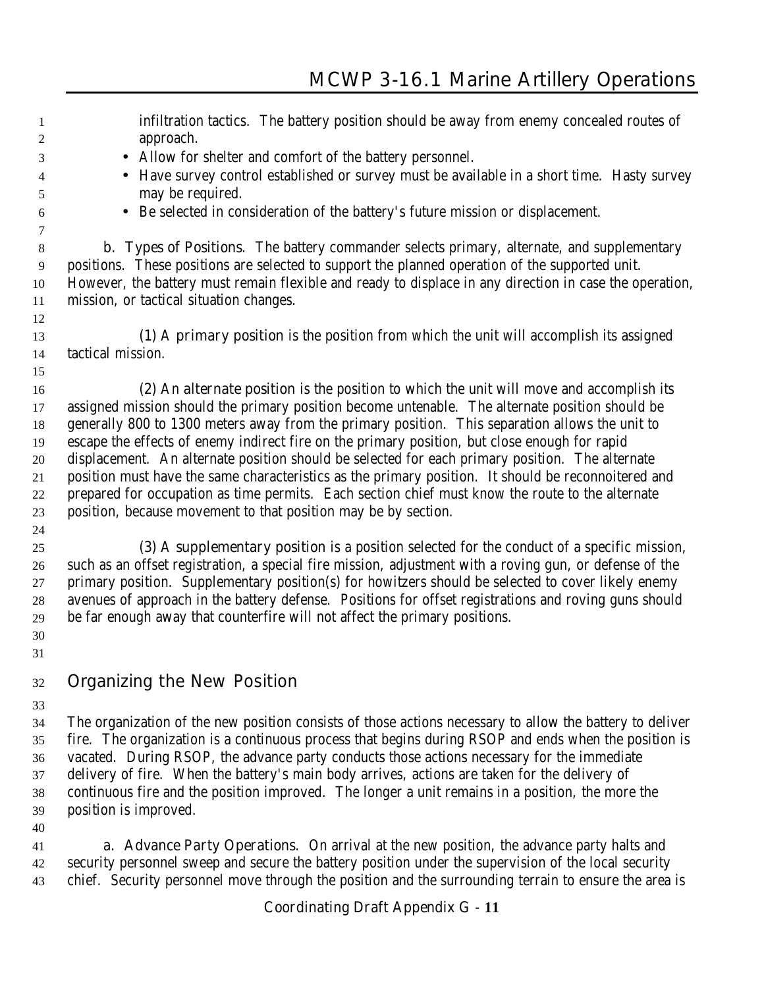- infiltration tactics. The battery position should be away from enemy concealed routes of approach. • Allow for shelter and comfort of the battery personnel. • Have survey control established or survey must be available in a short time. Hasty survey may be required. • Be selected in consideration of the battery's future mission or displacement. **b. Types of Positions**. The battery commander selects primary, alternate, and supplementary positions. These positions are selected to support the planned operation of the supported unit. However, the battery must remain flexible and ready to displace in any direction in case the operation, mission, or tactical situation changes. **(1)** A **primary position** is the position from which the unit will accomplish its assigned tactical mission. **(2)** An **alternate position** is the position to which the unit will move and accomplish its assigned mission should the primary position become untenable. The alternate position should be generally 800 to 1300 meters away from the primary position. This separation allows the unit to escape the effects of enemy indirect fire on the primary position, but close enough for rapid displacement. An alternate position should be selected for each primary position. The alternate position must have the same characteristics as the primary position. It should be reconnoitered and prepared for occupation as time permits. Each section chief must know the route to the alternate position, because movement to that position may be by section. **(3)** A **supplementary position** is a position selected for the conduct of a specific mission, such as an offset registration, a special fire mission, adjustment with a roving gun, or defense of the primary position. Supplementary position(s) for howitzers should be selected to cover likely enemy avenues of approach in the battery defense. Positions for offset registrations and roving guns should be far enough away that counterfire will not affect the primary positions. **Organizing the New Position** The organization of the new position consists of those actions necessary to allow the battery to deliver fire. The organization is a continuous process that begins during RSOP and ends when the position is vacated. During RSOP, the advance party conducts those actions necessary for the immediate delivery of fire. When the battery's main body arrives, actions are taken for the delivery of continuous fire and the position improved. The longer a unit remains in a position, the more the position is improved.
- **a. Advance Party Operations**. On arrival at the new position, the advance party halts and security personnel sweep and secure the battery position under the supervision of the local security chief. Security personnel move through the position and the surrounding terrain to ensure the area is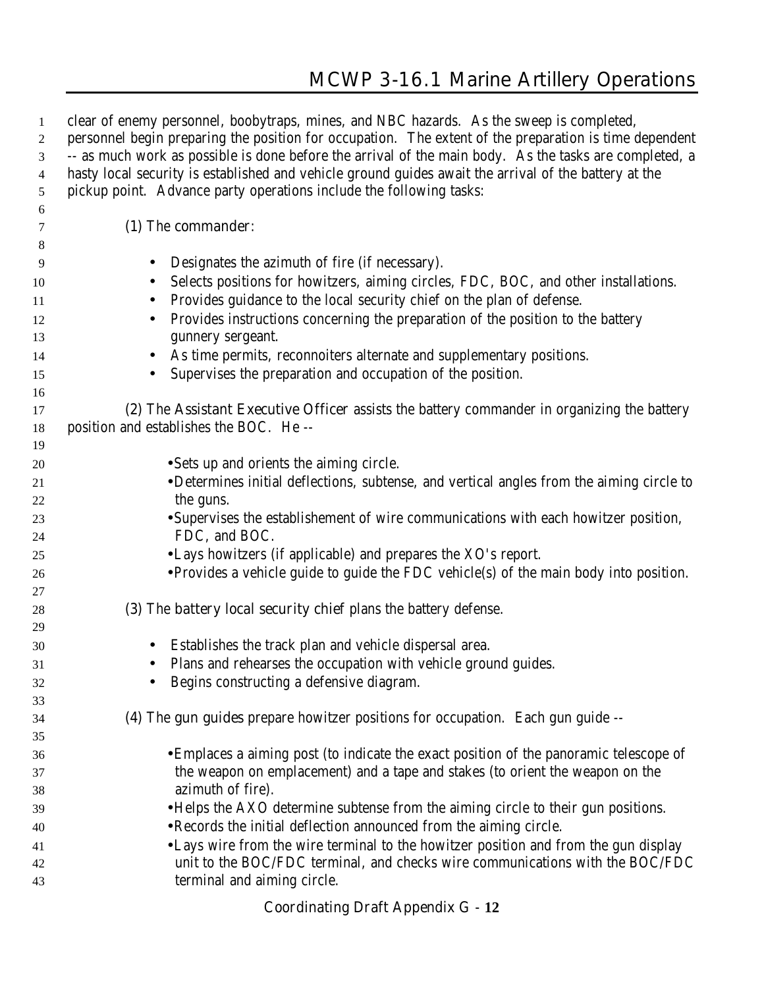| $\mathbf{1}$<br>$\overline{c}$ | clear of enemy personnel, boobytraps, mines, and NBC hazards. As the sweep is completed,<br>personnel begin preparing the position for occupation. The extent of the preparation is time dependent |
|--------------------------------|----------------------------------------------------------------------------------------------------------------------------------------------------------------------------------------------------|
| 3                              | -- as much work as possible is done before the arrival of the main body. As the tasks are completed, a                                                                                             |
| $\overline{4}$                 | hasty local security is established and vehicle ground guides await the arrival of the battery at the                                                                                              |
| $\mathfrak{S}$                 | pickup point. Advance party operations include the following tasks:                                                                                                                                |
| 6                              |                                                                                                                                                                                                    |
| 7                              | (1) The commander:                                                                                                                                                                                 |
| 8                              |                                                                                                                                                                                                    |
| 9                              | Designates the azimuth of fire (if necessary).                                                                                                                                                     |
| 10                             | Selects positions for howitzers, aiming circles, FDC, BOC, and other installations.                                                                                                                |
| 11                             | Provides guidance to the local security chief on the plan of defense.<br>$\bullet$                                                                                                                 |
| 12                             | Provides instructions concerning the preparation of the position to the battery                                                                                                                    |
| 13                             | gunnery sergeant.                                                                                                                                                                                  |
| 14                             | As time permits, reconnoiters alternate and supplementary positions.                                                                                                                               |
| 15                             | Supervises the preparation and occupation of the position.                                                                                                                                         |
| 16                             |                                                                                                                                                                                                    |
| 17                             | (2) The Assistant Executive Officer assists the battery commander in organizing the battery                                                                                                        |
| 18                             | position and establishes the BOC. He --                                                                                                                                                            |
| 19                             |                                                                                                                                                                                                    |
| 20                             | • Sets up and orients the aiming circle.                                                                                                                                                           |
| 21                             | •Determines initial deflections, subtense, and vertical angles from the aiming circle to                                                                                                           |
| 22                             | the guns.                                                                                                                                                                                          |
| 23                             | • Supervises the establishement of wire communications with each howitzer position,                                                                                                                |
| 24                             | FDC, and BOC.                                                                                                                                                                                      |
| 25                             | • Lays howitzers (if applicable) and prepares the XO's report.                                                                                                                                     |
| 26                             | • Provides a vehicle guide to guide the FDC vehicle(s) of the main body into position.                                                                                                             |
| 27                             |                                                                                                                                                                                                    |
| 28                             | (3) The <b>battery local security chief</b> plans the battery defense.                                                                                                                             |
| 29                             |                                                                                                                                                                                                    |
| 30                             | Establishes the track plan and vehicle dispersal area.                                                                                                                                             |
| 31                             | Plans and rehearses the occupation with vehicle ground guides.                                                                                                                                     |
| 32                             | Begins constructing a defensive diagram.                                                                                                                                                           |
| 33                             |                                                                                                                                                                                                    |
| 34                             | (4) The gun guides prepare howitzer positions for occupation. Each gun guide --                                                                                                                    |
| 35                             |                                                                                                                                                                                                    |
| 36                             | • Emplaces a aiming post (to indicate the exact position of the panoramic telescope of                                                                                                             |
| 37                             | the weapon on emplacement) and a tape and stakes (to orient the weapon on the                                                                                                                      |
| 38                             | azimuth of fire).                                                                                                                                                                                  |
| 39                             | • Helps the AXO determine subtense from the aiming circle to their gun positions.                                                                                                                  |
| 40                             | • Records the initial deflection announced from the aiming circle.                                                                                                                                 |
| 41                             | • Lays wire from the wire terminal to the howitzer position and from the gun display                                                                                                               |
| 42                             | unit to the BOC/FDC terminal, and checks wire communications with the BOC/FDC                                                                                                                      |
| 43                             | terminal and aiming circle.                                                                                                                                                                        |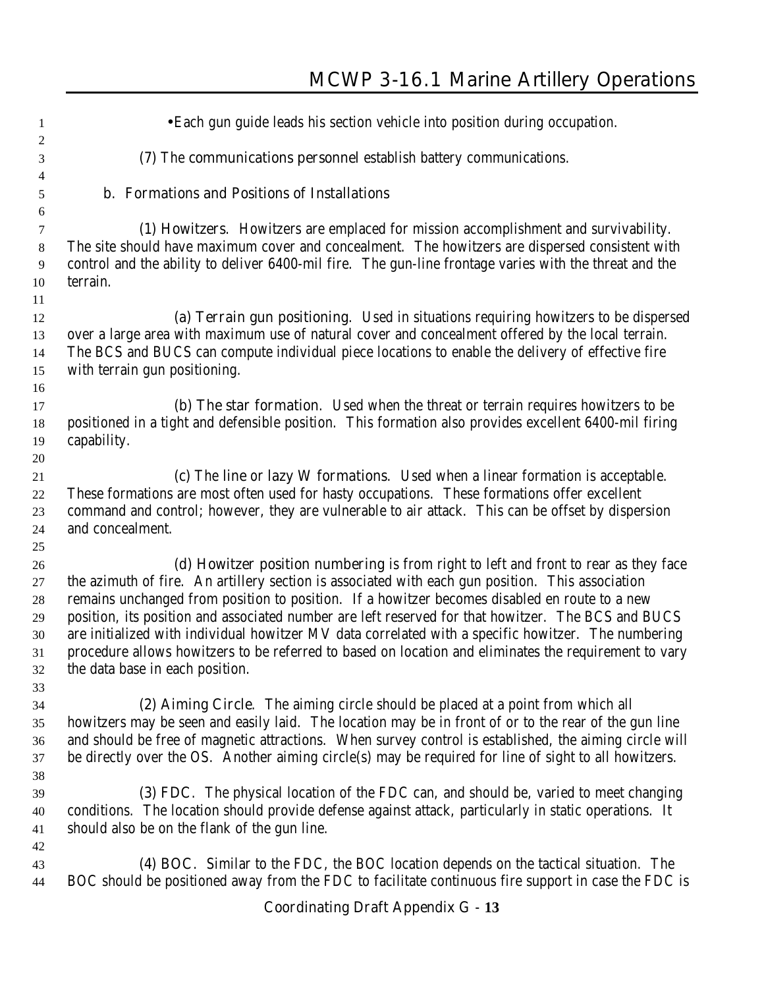| 1                   | • Each gun guide leads his section vehicle into position during occupation.                                                                                                            |
|---------------------|----------------------------------------------------------------------------------------------------------------------------------------------------------------------------------------|
| $\overline{c}$<br>3 | (7) The communications personnel establish battery communications.                                                                                                                     |
| 4                   |                                                                                                                                                                                        |
| 5                   | b. Formations and Positions of Installations                                                                                                                                           |
| 6                   |                                                                                                                                                                                        |
| $\tau$<br>$8\,$     | (1) Howitzers. Howitzers are emplaced for mission accomplishment and survivability.<br>The site should have maximum cover and concealment. The howitzers are dispersed consistent with |
| 9                   | control and the ability to deliver 6400-mil fire. The gun-line frontage varies with the threat and the                                                                                 |
| 10                  | terrain.                                                                                                                                                                               |
| 11                  |                                                                                                                                                                                        |
| 12                  | (a) Terrain gun positioning. Used in situations requiring howitzers to be dispersed                                                                                                    |
| 13                  | over a large area with maximum use of natural cover and concealment offered by the local terrain.                                                                                      |
| 14                  | The BCS and BUCS can compute individual piece locations to enable the delivery of effective fire                                                                                       |
| 15                  | with terrain gun positioning.                                                                                                                                                          |
| 16                  |                                                                                                                                                                                        |
| 17                  | (b) The star formation. Used when the threat or terrain requires howitzers to be                                                                                                       |
| 18                  | positioned in a tight and defensible position. This formation also provides excellent 6400-mil firing                                                                                  |
| 19                  | capability.                                                                                                                                                                            |
| 20                  |                                                                                                                                                                                        |
| 21                  | (c) The line or lazy W formations. Used when a linear formation is acceptable.                                                                                                         |
| 22                  | These formations are most often used for hasty occupations. These formations offer excellent                                                                                           |
| 23                  | command and control; however, they are vulnerable to air attack. This can be offset by dispersion                                                                                      |
| 24                  | and concealment.                                                                                                                                                                       |
| 25                  |                                                                                                                                                                                        |
| 26                  | (d) Howitzer position numbering is from right to left and front to rear as they face                                                                                                   |
| 27                  | the azimuth of fire. An artillery section is associated with each gun position. This association                                                                                       |
| 28                  | remains unchanged from position to position. If a howitzer becomes disabled en route to a new                                                                                          |
| 29                  | position, its position and associated number are left reserved for that howitzer. The BCS and BUCS                                                                                     |
| 30                  | are initialized with individual howitzer MV data correlated with a specific howitzer. The numbering                                                                                    |
| 31                  | procedure allows howitzers to be referred to based on location and eliminates the requirement to vary                                                                                  |
| 32                  | the data base in each position.                                                                                                                                                        |
| 33                  |                                                                                                                                                                                        |
| 34                  | (2) Aiming Circle. The aiming circle should be placed at a point from which all                                                                                                        |
| 35                  | howitzers may be seen and easily laid. The location may be in front of or to the rear of the gun line                                                                                  |
| 36                  | and should be free of magnetic attractions. When survey control is established, the aiming circle will                                                                                 |
| 37                  | be directly over the OS. Another aiming circle(s) may be required for line of sight to all howitzers.                                                                                  |
| 38                  |                                                                                                                                                                                        |
| 39                  | (3) FDC. The physical location of the FDC can, and should be, varied to meet changing                                                                                                  |
| 40                  | conditions. The location should provide defense against attack, particularly in static operations. It                                                                                  |
| 41                  | should also be on the flank of the gun line.                                                                                                                                           |
| 42                  |                                                                                                                                                                                        |
| 43                  | (4) BOC. Similar to the FDC, the BOC location depends on the tactical situation. The                                                                                                   |
| 44                  | BOC should be positioned away from the FDC to facilitate continuous fire support in case the FDC is                                                                                    |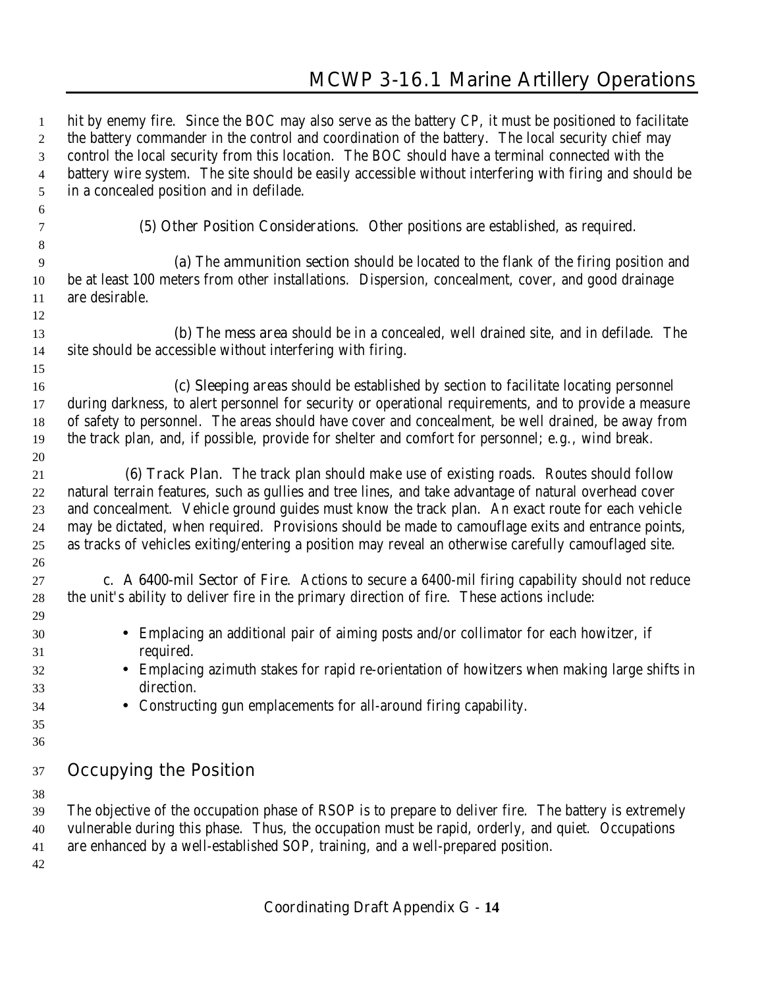hit by enemy fire. Since the BOC may also serve as the battery CP, it must be positioned to facilitate 2 the battery commander in the control and coordination of the battery. The local security chief may control the local security from this location. The BOC should have a terminal connected with the battery wire system. The site should be easily accessible without interfering with firing and should be in a concealed position and in defilade. **(5) Other Position Considerations**. Other positions are established, as required. **(a)** The **ammunition section** should be located to the flank of the firing position and be at least 100 meters from other installations. Dispersion, concealment, cover, and good drainage are desirable. **(b)** The **mess area** should be in a concealed, well drained site, and in defilade. The site should be accessible without interfering with firing. **(c) Sleeping areas** should be established by section to facilitate locating personnel during darkness, to alert personnel for security or operational requirements, and to provide a measure of safety to personnel. The areas should have cover and concealment, be well drained, be away from the track plan, and, if possible, provide for shelter and comfort for personnel; e.g., wind break. **(6) Track Plan**. The track plan should make use of existing roads. Routes should follow natural terrain features, such as gullies and tree lines, and take advantage of natural overhead cover and concealment. Vehicle ground guides must know the track plan. An exact route for each vehicle may be dictated, when required. Provisions should be made to camouflage exits and entrance points, as tracks of vehicles exiting/entering a position may reveal an otherwise carefully camouflaged site. **c. A 6400-mil Sector of Fire**. Actions to secure a 6400-mil firing capability should not reduce the unit's ability to deliver fire in the primary direction of fire. These actions include: • Emplacing an additional pair of aiming posts and/or collimator for each howitzer, if required. • Emplacing azimuth stakes for rapid re-orientation of howitzers when making large shifts in direction. • Constructing gun emplacements for all-around firing capability. **Occupying the Position** The objective of the occupation phase of RSOP is to prepare to deliver fire. The battery is extremely vulnerable during this phase. Thus, the occupation must be rapid, orderly, and quiet. Occupations are enhanced by a well-established SOP, training, and a well-prepared position.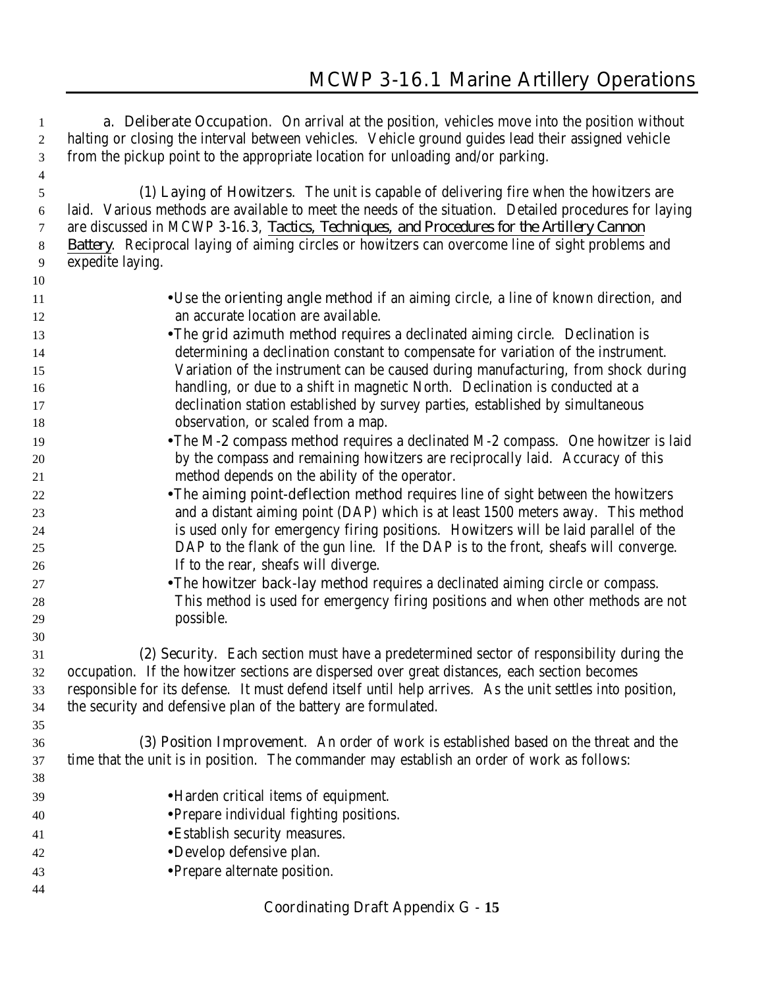**a. Deliberate Occupation**. On arrival at the position, vehicles move into the position without halting or closing the interval between vehicles. Vehicle ground guides lead their assigned vehicle from the pickup point to the appropriate location for unloading and/or parking.

 **(1) Laying of Howitzers**. The unit is capable of delivering fire when the howitzers are laid. Various methods are available to meet the needs of the situation. Detailed procedures for laying are discussed in MCWP 3-16.3, *Tactics, Techniques, and Procedures for the Artillery Cannon Battery*. Reciprocal laying of aiming circles or howitzers can overcome line of sight problems and expedite laying.

- •Use the **orienting angle method** if an aiming circle, a line of known direction, and an accurate location are available.
- •The **grid azimuth method** requires a declinated aiming circle. Declination is determining a declination constant to compensate for variation of the instrument. Variation of the instrument can be caused during manufacturing, from shock during handling, or due to a shift in magnetic North. Declination is conducted at a declination station established by survey parties, established by simultaneous **observation**, or scaled from a map.
- •The **M-2 compass method** requires a declinated M-2 compass. One howitzer is laid by the compass and remaining howitzers are reciprocally laid. Accuracy of this method depends on the ability of the operator.
- •The **aiming point-deflection method** requires line of sight between the howitzers and a distant aiming point (DAP) which is at least 1500 meters away. This method is used only for emergency firing positions. Howitzers will be laid parallel of the DAP to the flank of the gun line. If the DAP is to the front, sheafs will converge. If to the rear, sheafs will diverge.
- •The **howitzer back-lay method** requires a declinated aiming circle or compass. This method is used for emergency firing positions and when other methods are not possible.

 **(2) Security**. Each section must have a predetermined sector of responsibility during the occupation. If the howitzer sections are dispersed over great distances, each section becomes responsible for its defense. It must defend itself until help arrives. As the unit settles into position, the security and defensive plan of the battery are formulated.

- **(3) Position Improvement**. An order of work is established based on the threat and the time that the unit is in position. The commander may establish an order of work as follows:
- •Harden critical items of equipment. •Prepare individual fighting positions. •Establish security measures. •Develop defensive plan. •Prepare alternate position.
-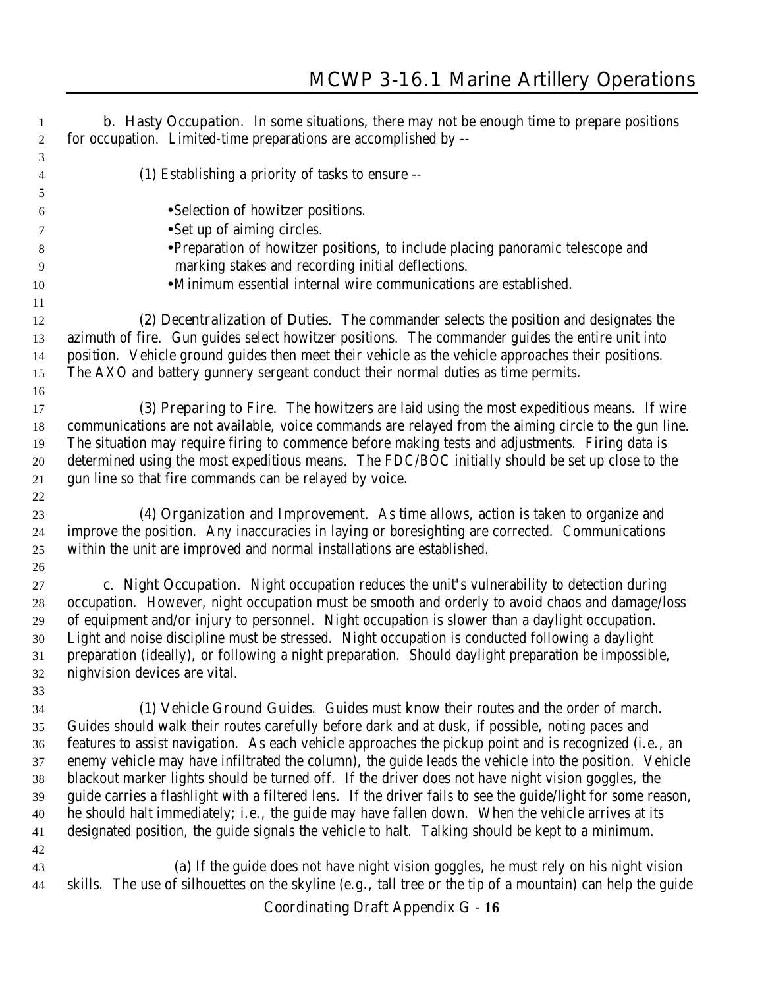| 1        | <b>b. Hasty Occupation.</b> In some situations, there may not be enough time to prepare positions                                                                                                  |
|----------|----------------------------------------------------------------------------------------------------------------------------------------------------------------------------------------------------|
| 2        | for occupation. Limited-time preparations are accomplished by --                                                                                                                                   |
| 3        |                                                                                                                                                                                                    |
| 4        | (1) Establishing a priority of tasks to ensure --                                                                                                                                                  |
| 5        |                                                                                                                                                                                                    |
| 6        | • Selection of howitzer positions.                                                                                                                                                                 |
| 7        | • Set up of aiming circles.                                                                                                                                                                        |
| 8        | • Preparation of howitzer positions, to include placing panoramic telescope and                                                                                                                    |
| 9        | marking stakes and recording initial deflections.                                                                                                                                                  |
| 10       | ·Minimum essential internal wire communications are established.                                                                                                                                   |
| 11       |                                                                                                                                                                                                    |
| 12       | (2) Decentralization of Duties. The commander selects the position and designates the                                                                                                              |
| 13       | azimuth of fire. Gun guides select howitzer positions. The commander guides the entire unit into                                                                                                   |
| 14       | position. Vehicle ground guides then meet their vehicle as the vehicle approaches their positions.                                                                                                 |
| 15       | The AXO and battery gunnery sergeant conduct their normal duties as time permits.                                                                                                                  |
| 16       |                                                                                                                                                                                                    |
| 17       | (3) Preparing to Fire. The howitzers are laid using the most expeditious means. If wire                                                                                                            |
| 18       | communications are not available, voice commands are relayed from the aiming circle to the gun line.                                                                                               |
| 19       | The situation may require firing to commence before making tests and adjustments. Firing data is                                                                                                   |
| 20       | determined using the most expeditious means. The FDC/BOC initially should be set up close to the                                                                                                   |
| 21       | gun line so that fire commands can be relayed by voice.                                                                                                                                            |
| 22       |                                                                                                                                                                                                    |
| 23       | (4) Organization and Improvement. As time allows, action is taken to organize and                                                                                                                  |
| 24       | improve the position. Any inaccuracies in laying or boresighting are corrected. Communications                                                                                                     |
| 25       | within the unit are improved and normal installations are established.                                                                                                                             |
| 26       |                                                                                                                                                                                                    |
| 27       | c. Night Occupation. Night occupation reduces the unit's vulnerability to detection during                                                                                                         |
| 28       | occupation. However, night occupation must be smooth and orderly to avoid chaos and damage/loss                                                                                                    |
| 29       | of equipment and/or injury to personnel. Night occupation is slower than a daylight occupation.<br>Light and noise discipline must be stressed. Night occupation is conducted following a daylight |
| 30<br>31 | preparation (ideally), or following a night preparation. Should daylight preparation be impossible,                                                                                                |
| 32       | nighvision devices are vital.                                                                                                                                                                      |
| 33       |                                                                                                                                                                                                    |
| 34       | (1) Vehicle Ground Guides. Guides must know their routes and the order of march.                                                                                                                   |
| 35       | Guides should walk their routes carefully before dark and at dusk, if possible, noting paces and                                                                                                   |
| 36       | features to assist navigation. As each vehicle approaches the pickup point and is recognized (i.e., an                                                                                             |
| 37       | enemy vehicle may have infiltrated the column), the guide leads the vehicle into the position. Vehicle                                                                                             |
| 38       | blackout marker lights should be turned off. If the driver does not have night vision goggles, the                                                                                                 |
| 39       | guide carries a flashlight with a filtered lens. If the driver fails to see the guide/light for some reason,                                                                                       |
| 40       | he should halt immediately; i.e., the guide may have fallen down. When the vehicle arrives at its                                                                                                  |
| 41       | designated position, the guide signals the vehicle to halt. Talking should be kept to a minimum.                                                                                                   |
| 42       |                                                                                                                                                                                                    |
| 43       | (a) If the guide does not have night vision goggles, he must rely on his night vision                                                                                                              |
| 44       | skills. The use of silhouettes on the skyline (e.g., tall tree or the tip of a mountain) can help the guide                                                                                        |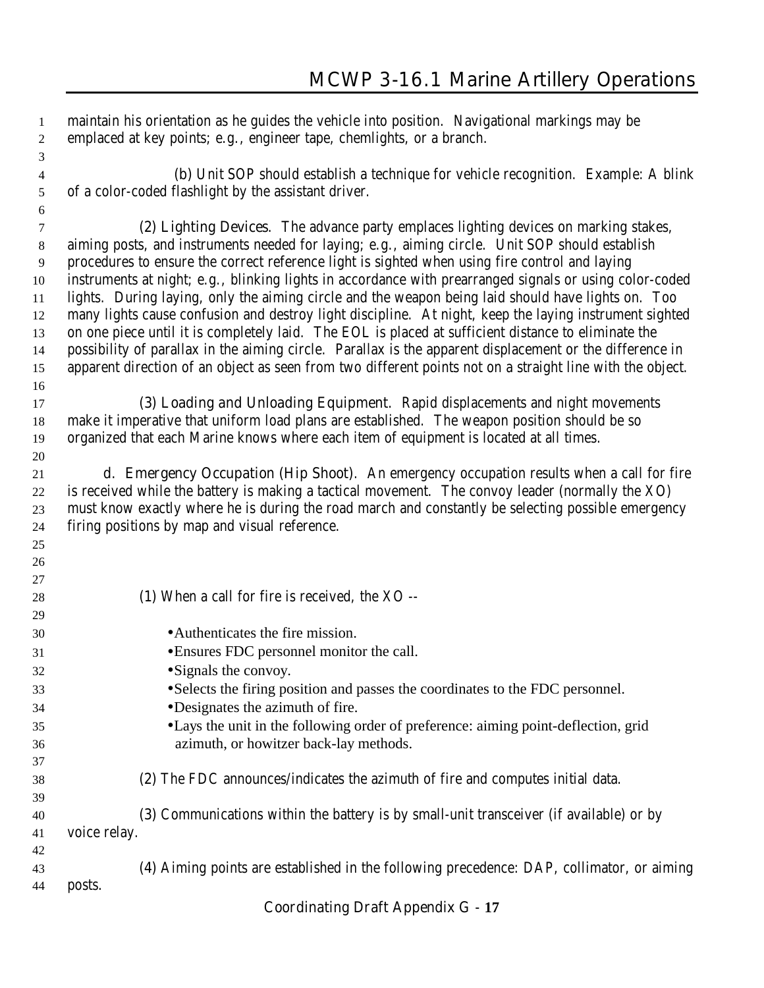| $\mathbf{1}$<br>$\overline{c}$ | maintain his orientation as he guides the vehicle into position. Navigational markings may be<br>emplaced at key points; e.g., engineer tape, chemlights, or a branch. |
|--------------------------------|------------------------------------------------------------------------------------------------------------------------------------------------------------------------|
| 3                              |                                                                                                                                                                        |
| 4                              | (b) Unit SOP should establish a technique for vehicle recognition. Example: A blink                                                                                    |
| 5                              | of a color-coded flashlight by the assistant driver.                                                                                                                   |
| 6                              |                                                                                                                                                                        |
| 7                              | (2) Lighting Devices. The advance party emplaces lighting devices on marking stakes,                                                                                   |
| 8                              | aiming posts, and instruments needed for laying; e.g., aiming circle. Unit SOP should establish                                                                        |
| 9                              | procedures to ensure the correct reference light is sighted when using fire control and laying                                                                         |
| 10                             | instruments at night; e.g., blinking lights in accordance with prearranged signals or using color-coded                                                                |
| 11                             | lights. During laying, only the aiming circle and the weapon being laid should have lights on. Too                                                                     |
| 12                             | many lights cause confusion and destroy light discipline. At night, keep the laying instrument sighted                                                                 |
| 13                             | on one piece until it is completely laid. The EOL is placed at sufficient distance to eliminate the                                                                    |
| 14                             | possibility of parallax in the aiming circle. Parallax is the apparent displacement or the difference in                                                               |
| 15                             | apparent direction of an object as seen from two different points not on a straight line with the object.                                                              |
| 16                             |                                                                                                                                                                        |
| 17                             | (3) Loading and Unloading Equipment. Rapid displacements and night movements                                                                                           |
| 18                             | make it imperative that uniform load plans are established. The weapon position should be so                                                                           |
| 19                             | organized that each Marine knows where each item of equipment is located at all times.                                                                                 |
| 20                             |                                                                                                                                                                        |
| 21                             | d. Emergency Occupation (Hip Shoot). An emergency occupation results when a call for fire                                                                              |
| 22                             | is received while the battery is making a tactical movement. The convoy leader (normally the XO)                                                                       |
| 23                             | must know exactly where he is during the road march and constantly be selecting possible emergency                                                                     |
| 24                             | firing positions by map and visual reference.                                                                                                                          |
| 25                             |                                                                                                                                                                        |
| 26                             |                                                                                                                                                                        |
| 27                             |                                                                                                                                                                        |
| 28                             | (1) When a call for fire is received, the XO --                                                                                                                        |
| 29                             |                                                                                                                                                                        |
| 30                             | • Authenticates the fire mission.                                                                                                                                      |
| 31                             | • Ensures FDC personnel monitor the call.                                                                                                                              |
| 32                             | • Signals the convoy.                                                                                                                                                  |
| 33                             | • Selects the firing position and passes the coordinates to the FDC personnel.                                                                                         |
| 34                             | • Designates the azimuth of fire.                                                                                                                                      |
| 35                             | • Lays the unit in the following order of preference: aiming point-deflection, grid                                                                                    |
| 36                             | azimuth, or howitzer back-lay methods.                                                                                                                                 |
| 37                             |                                                                                                                                                                        |
| 38                             | (2) The FDC announces/indicates the azimuth of fire and computes initial data.                                                                                         |
| 39                             |                                                                                                                                                                        |
| 40                             | (3) Communications within the battery is by small-unit transceiver (if available) or by                                                                                |
| 41                             | voice relay.                                                                                                                                                           |
| 42                             |                                                                                                                                                                        |
| 43                             | (4) Aiming points are established in the following precedence: DAP, collimator, or aiming                                                                              |
| 44                             | posts.                                                                                                                                                                 |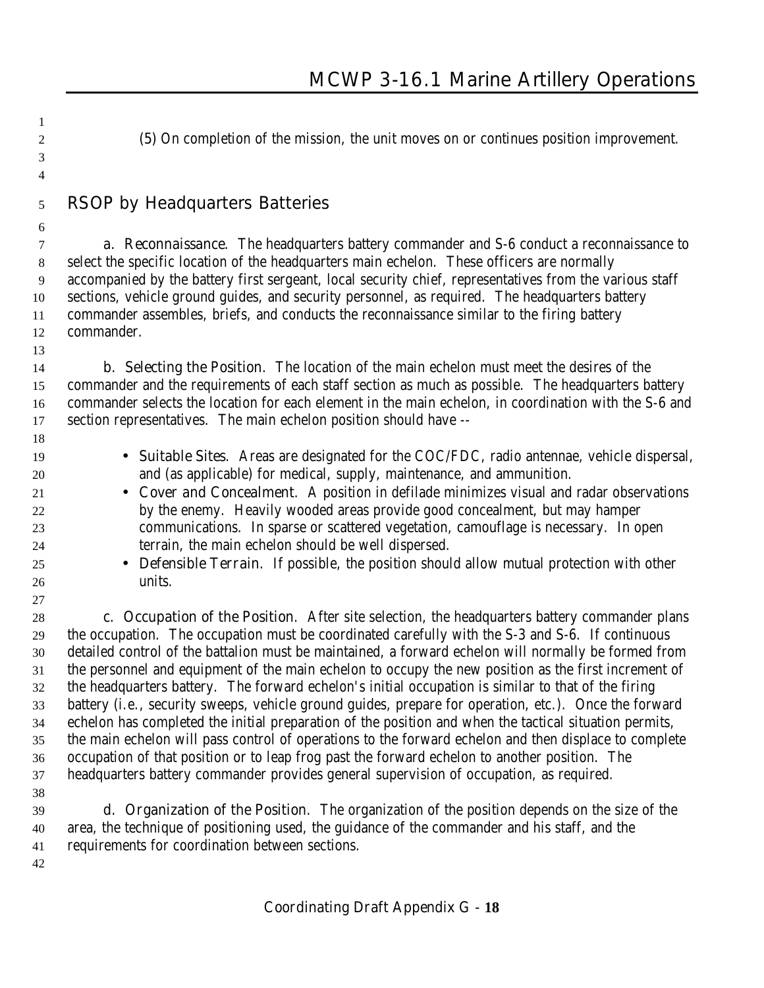**(5)** On completion of the mission, the unit moves on or continues position improvement.

# **RSOP by Headquarters Batteries**

 **a. Reconnaissance**. The headquarters battery commander and S-6 conduct a reconnaissance to select the specific location of the headquarters main echelon. These officers are normally accompanied by the battery first sergeant, local security chief, representatives from the various staff sections, vehicle ground guides, and security personnel, as required. The headquarters battery commander assembles, briefs, and conducts the reconnaissance similar to the firing battery commander.

 **b. Selecting the Position**. The location of the main echelon must meet the desires of the commander and the requirements of each staff section as much as possible. The headquarters battery commander selects the location for each element in the main echelon, in coordination with the S-6 and section representatives. The main echelon position should have --

- **Suitable Sites**. Areas are designated for the COC/FDC, radio antennae, vehicle dispersal, and (as applicable) for medical, supply, maintenance, and ammunition.
- **Cover and Concealment**. A position in defilade minimizes visual and radar observations by the enemy. Heavily wooded areas provide good concealment, but may hamper communications. In sparse or scattered vegetation, camouflage is necessary. In open terrain, the main echelon should be well dispersed.
- **Defensible Terrain**. If possible, the position should allow mutual protection with other units.

 **c. Occupation of the Position**. After site selection, the headquarters battery commander plans the occupation. The occupation must be coordinated carefully with the S-3 and S-6. If continuous detailed control of the battalion must be maintained, a forward echelon will normally be formed from the personnel and equipment of the main echelon to occupy the new position as the first increment of the headquarters battery. The forward echelon's initial occupation is similar to that of the firing battery (i.e., security sweeps, vehicle ground guides, prepare for operation, etc.). Once the forward echelon has completed the initial preparation of the position and when the tactical situation permits, the main echelon will pass control of operations to the forward echelon and then displace to complete occupation of that position or to leap frog past the forward echelon to another position. The headquarters battery commander provides general supervision of occupation, as required.

 

 **d. Organization of the Position**. The organization of the position depends on the size of the area, the technique of positioning used, the guidance of the commander and his staff, and the requirements for coordination between sections.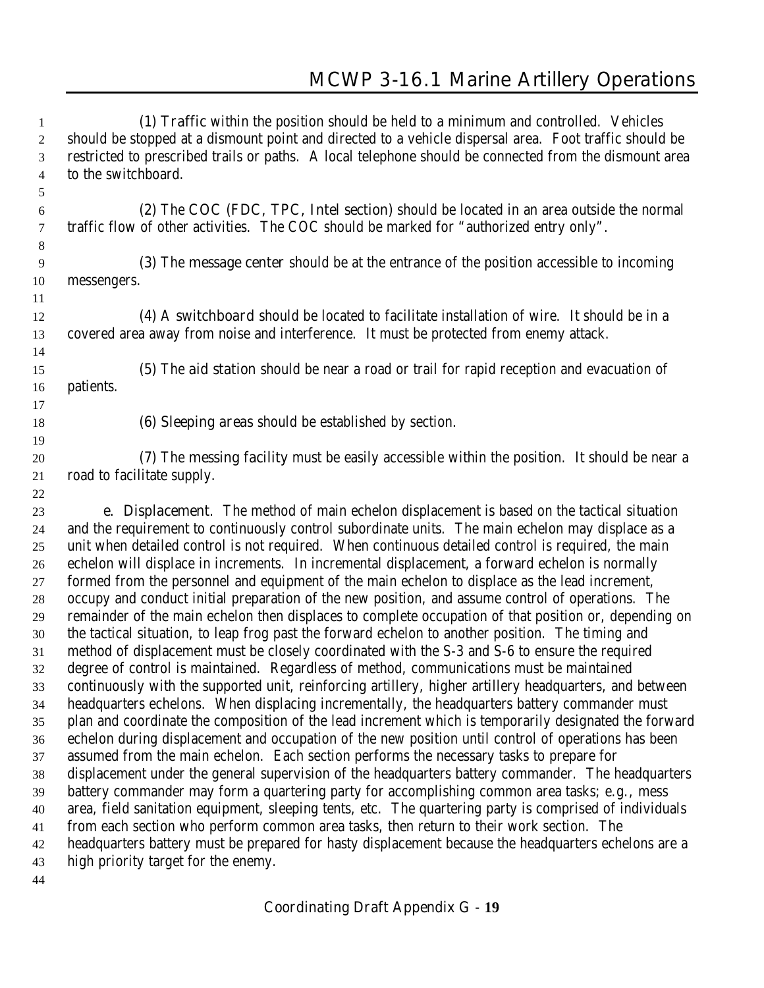**(1) Traffic** within the position should be held to a minimum and controlled. Vehicles should be stopped at a dismount point and directed to a vehicle dispersal area. Foot traffic should be restricted to prescribed trails or paths. A local telephone should be connected from the dismount area to the switchboard. **(2)** The **COC (FDC, TPC, Intel section)** should be located in an area outside the normal traffic flow of other activities. The COC should be marked for "authorized entry only". **(3)** The **message center** should be at the entrance of the position accessible to incoming messengers. **(4)** A **switchboard** should be located to facilitate installation of wire. It should be in a covered area away from noise and interference. It must be protected from enemy attack. **(5)** The **aid station** should be near a road or trail for rapid reception and evacuation of patients. **(6) Sleeping areas** should be established by section. **(7)** The **messing facility** must be easily accessible within the position. It should be near a road to facilitate supply. **e. Displacement**. The method of main echelon displacement is based on the tactical situation and the requirement to continuously control subordinate units. The main echelon may displace as a unit when detailed control is not required. When continuous detailed control is required, the main echelon will displace in increments. In incremental displacement, a forward echelon is normally formed from the personnel and equipment of the main echelon to displace as the lead increment, occupy and conduct initial preparation of the new position, and assume control of operations. The remainder of the main echelon then displaces to complete occupation of that position or, depending on the tactical situation, to leap frog past the forward echelon to another position. The timing and method of displacement must be closely coordinated with the S-3 and S-6 to ensure the required degree of control is maintained. Regardless of method, communications must be maintained continuously with the supported unit, reinforcing artillery, higher artillery headquarters, and between headquarters echelons. When displacing incrementally, the headquarters battery commander must plan and coordinate the composition of the lead increment which is temporarily designated the forward echelon during displacement and occupation of the new position until control of operations has been assumed from the main echelon. Each section performs the necessary tasks to prepare for displacement under the general supervision of the headquarters battery commander. The headquarters battery commander may form a quartering party for accomplishing common area tasks; e.g., mess area, field sanitation equipment, sleeping tents, etc. The quartering party is comprised of individuals from each section who perform common area tasks, then return to their work section. The headquarters battery must be prepared for hasty displacement because the headquarters echelons are a high priority target for the enemy.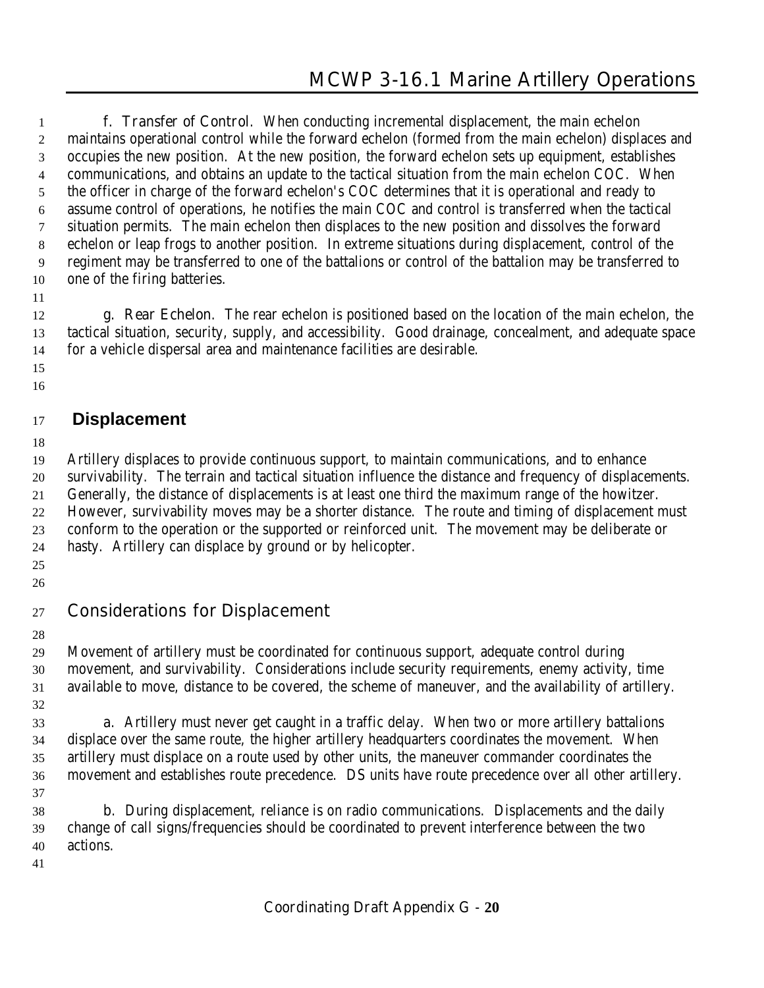**f. Transfer of Control**. When conducting incremental displacement, the main echelon maintains operational control while the forward echelon (formed from the main echelon) displaces and occupies the new position. At the new position, the forward echelon sets up equipment, establishes communications, and obtains an update to the tactical situation from the main echelon COC. When the officer in charge of the forward echelon's COC determines that it is operational and ready to assume control of operations, he notifies the main COC and control is transferred when the tactical situation permits. The main echelon then displaces to the new position and dissolves the forward echelon or leap frogs to another position. In extreme situations during displacement, control of the regiment may be transferred to one of the battalions or control of the battalion may be transferred to one of the firing batteries.

## 

 **g. Rear Echelon**. The rear echelon is positioned based on the location of the main echelon, the tactical situation, security, supply, and accessibility. Good drainage, concealment, and adequate space for a vehicle dispersal area and maintenance facilities are desirable.

 

# **Displacement**

 Artillery displaces to provide continuous support, to maintain communications, and to enhance survivability. The terrain and tactical situation influence the distance and frequency of displacements. Generally, the distance of displacements is at least one third the maximum range of the howitzer. However, survivability moves may be a shorter distance. The route and timing of displacement must conform to the operation or the supported or reinforced unit. The movement may be deliberate or hasty. Artillery can displace by ground or by helicopter.

 

# **Considerations for Displacement**

 Movement of artillery must be coordinated for continuous support, adequate control during movement, and survivability. Considerations include security requirements, enemy activity, time available to move, distance to be covered, the scheme of maneuver, and the availability of artillery.

 **a**. Artillery must never get caught in a traffic delay. When two or more artillery battalions displace over the same route, the higher artillery headquarters coordinates the movement. When artillery must displace on a route used by other units, the maneuver commander coordinates the movement and establishes route precedence. DS units have route precedence over all other artillery. 

 **b**. During displacement, reliance is on radio communications. Displacements and the daily change of call signs/frequencies should be coordinated to prevent interference between the two actions.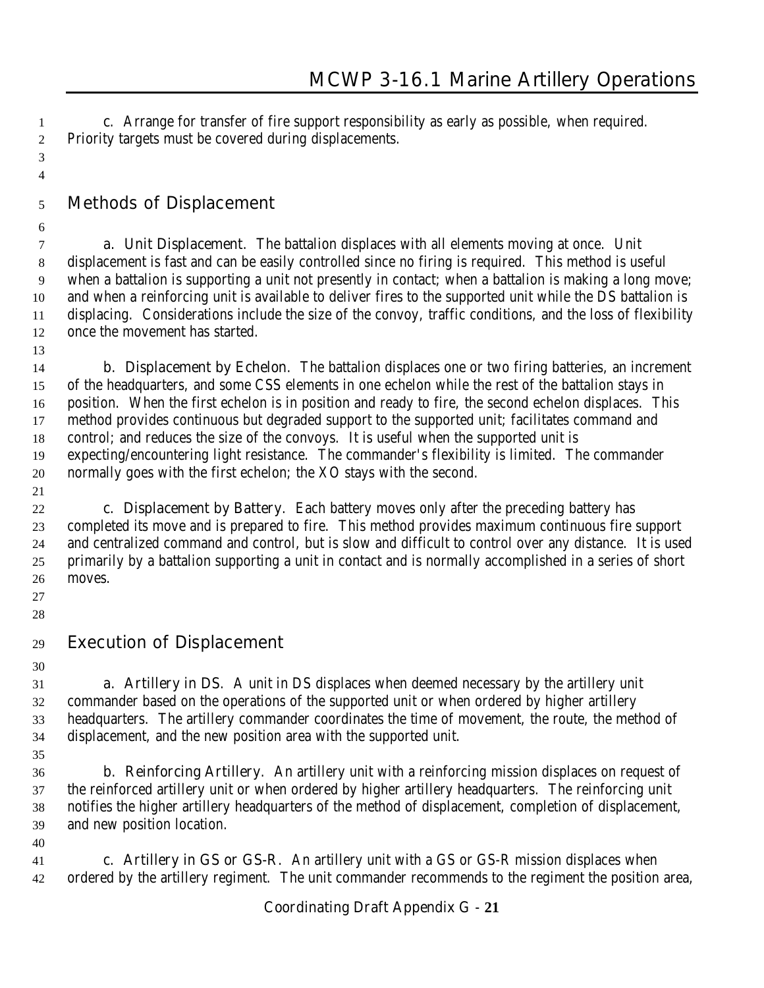**c**. Arrange for transfer of fire support responsibility as early as possible, when required. Priority targets must be covered during displacements.

# **Methods of Displacement**

 **a. Unit Displacement**. The battalion displaces with all elements moving at once. Unit displacement is fast and can be easily controlled since no firing is required. This method is useful when a battalion is supporting a unit not presently in contact; when a battalion is making a long move; and when a reinforcing unit is available to deliver fires to the supported unit while the DS battalion is displacing. Considerations include the size of the convoy, traffic conditions, and the loss of flexibility once the movement has started.

 **b. Displacement by Echelon**. The battalion displaces one or two firing batteries, an increment of the headquarters, and some CSS elements in one echelon while the rest of the battalion stays in position. When the first echelon is in position and ready to fire, the second echelon displaces. This method provides continuous but degraded support to the supported unit; facilitates command and control; and reduces the size of the convoys. It is useful when the supported unit is expecting/encountering light resistance. The commander's flexibility is limited. The commander normally goes with the first echelon; the XO stays with the second.

 **c. Displacement by Battery**. Each battery moves only after the preceding battery has completed its move and is prepared to fire. This method provides maximum continuous fire support and centralized command and control, but is slow and difficult to control over any distance. It is used primarily by a battalion supporting a unit in contact and is normally accomplished in a series of short moves.

 

 

- **Execution of Displacement**
- 

 **a. Artillery in DS**. A unit in DS displaces when deemed necessary by the artillery unit commander based on the operations of the supported unit or when ordered by higher artillery headquarters. The artillery commander coordinates the time of movement, the route, the method of displacement, and the new position area with the supported unit.

 **b. Reinforcing Artillery**. An artillery unit with a reinforcing mission displaces on request of the reinforced artillery unit or when ordered by higher artillery headquarters. The reinforcing unit notifies the higher artillery headquarters of the method of displacement, completion of displacement, and new position location. 

 **c. Artillery in GS or GS-R**. An artillery unit with a GS or GS-R mission displaces when ordered by the artillery regiment. The unit commander recommends to the regiment the position area,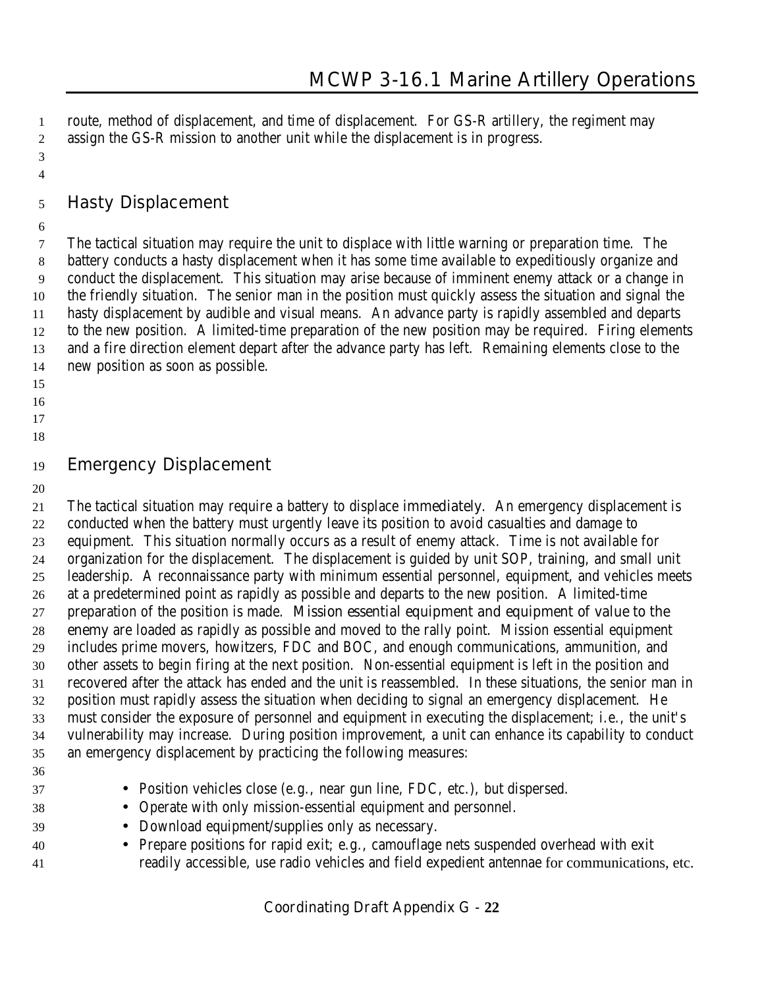route, method of displacement, and time of displacement. For GS-R artillery, the regiment may assign the GS-R mission to another unit while the displacement is in progress.

- 
- **Hasty Displacement**
- 

 The tactical situation may require the unit to displace with little warning or preparation time. The battery conducts a hasty displacement when it has some time available to expeditiously organize and conduct the displacement. This situation may arise because of imminent enemy attack or a change in the friendly situation. The senior man in the position must quickly assess the situation and signal the hasty displacement by audible and visual means. An advance party is rapidly assembled and departs to the new position. A limited-time preparation of the new position may be required. Firing elements and a fire direction element depart after the advance party has left. Remaining elements close to the new position as soon as possible.

- 
- 
- 
- 

# **Emergency Displacement**

 The tactical situation may require a battery to displace **immediately**. An emergency displacement is conducted when the battery must urgently leave its position to avoid casualties and damage to equipment. This situation normally occurs as a result of enemy attack. Time is not available for organization for the displacement. The displacement is guided by unit SOP, training, and small unit leadership. A reconnaissance party with minimum essential personnel, equipment, and vehicles meets at a predetermined point as rapidly as possible and departs to the new position. A limited-time preparation of the position is made. **Mission essential equipment and equipment of value to the enemy** are loaded as rapidly as possible and moved to the rally point. Mission essential equipment includes prime movers, howitzers, FDC and BOC, and enough communications, ammunition, and other assets to begin firing at the next position. Non-essential equipment is left in the position and recovered after the attack has ended and the unit is reassembled. In these situations, the senior man in position must rapidly assess the situation when deciding to signal an emergency displacement. He must consider the exposure of personnel and equipment in executing the displacement; i.e., the unit's vulnerability may increase. During position improvement, a unit can enhance its capability to conduct an emergency displacement by practicing the following measures:

- 
- Position vehicles close (e.g., near gun line, FDC, etc.), but dispersed.
- Operate with only mission-essential equipment and personnel.
- Download equipment/supplies only as necessary.
- Prepare positions for rapid exit; e.g., camouflage nets suspended overhead with exit readily accessible, use radio vehicles and field expedient antennae for communications, etc.